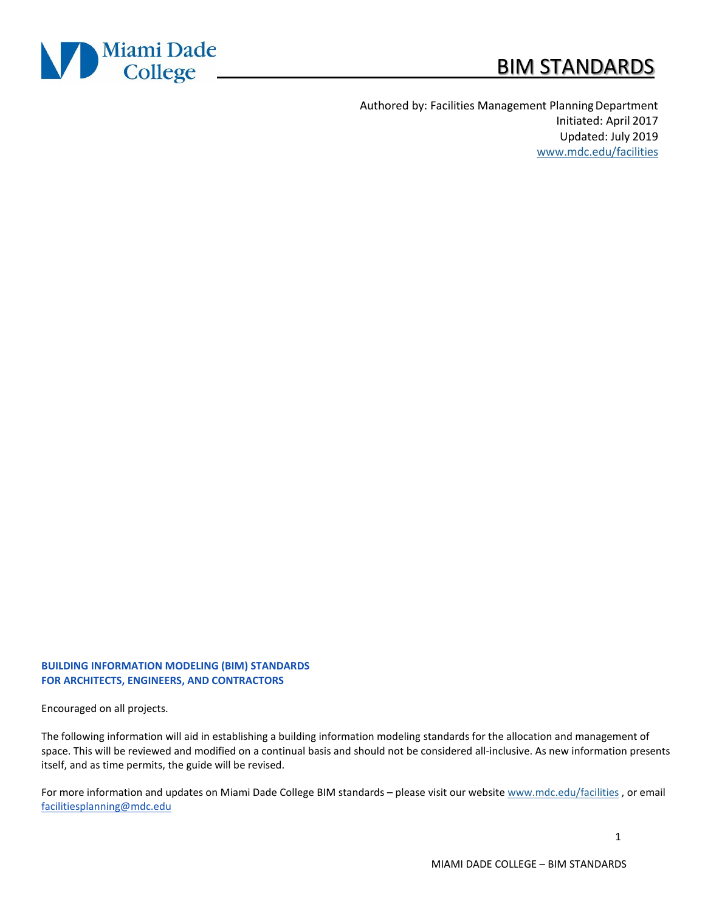

# BIM STANDARDS

Authored by: Facilities Management PlanningDepartment Initiated: April 2017 Updated: July 2019 [www.mdc.edu/facilities](http://www.mdc.edu/facilities)

#### **BUILDING INFORMATION MODELING (BIM) STANDARDS FOR ARCHITECTS, ENGINEERS, AND CONTRACTORS**

Encouraged on all projects.

The following information will aid in establishing a building information modeling standards for the allocation and management of space. This will be reviewed and modified on a continual basis and should not be considered all-inclusive. As new information presents itself, and as time permits, the guide will be revised.

For more information and updates on Miami Dade College BIM standards – please visit our website [www.mdc.edu/facilities](http://www.mdc.edu/facilities) , or email [facilitiesplanning@mdc.edu](mailto:facilitiesplanning@mdc.edu)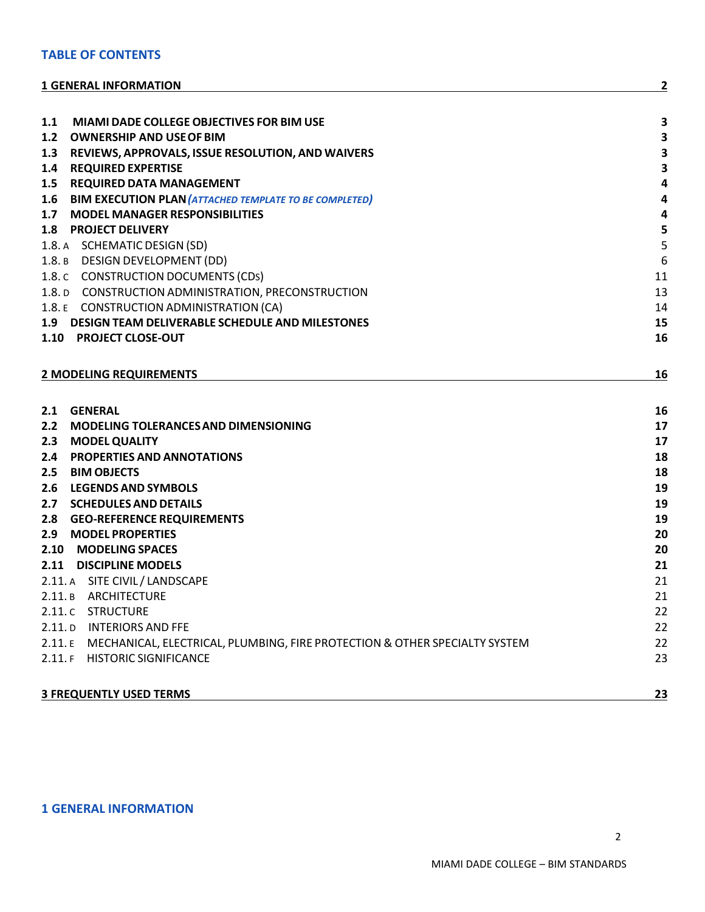#### **TABLE OF CONTENTS**

#### **1 GENERAL [INFORMATION](#page-1-0) 2**

| MIAMI DADE COLLEGE OBJECTIVES FOR BIM USE<br>1.1                                                        | 3                            |
|---------------------------------------------------------------------------------------------------------|------------------------------|
| 1.2<br><b>OWNERSHIP AND USE OF BIM</b>                                                                  | $\overline{\mathbf{3}}$      |
| 1.3<br>REVIEWS, APPROVALS, ISSUE RESOLUTION, AND WAIVERS                                                | $\overline{\mathbf{3}}$      |
| <b>REQUIRED EXPERTISE</b><br>1.4                                                                        | 3                            |
| 1.5<br><b>REQUIRED DATA MANAGEMENT</b><br><b>BIM EXECUTION PLAN (ATTACHED TEMPLATE TO BE COMPLETED)</b> | 4<br>$\overline{\mathbf{4}}$ |
| 1.6<br><b>MODEL MANAGER RESPONSIBILITIES</b><br>1.7                                                     | 4                            |
| <b>PROJECT DELIVERY</b><br>1.8 <sub>1</sub>                                                             | 5                            |
| 1.8. A SCHEMATIC DESIGN (SD)                                                                            | 5                            |
| 1.8. B DESIGN DEVELOPMENT (DD)                                                                          | 6                            |
| 1.8. C CONSTRUCTION DOCUMENTS (CDs)                                                                     | 11                           |
| 1.8. D CONSTRUCTION ADMINISTRATION, PRECONSTRUCTION                                                     | 13                           |
| 1.8. E CONSTRUCTION ADMINISTRATION (CA)                                                                 | 14                           |
| 1.9 DESIGN TEAM DELIVERABLE SCHEDULE AND MILESTONES                                                     | 15                           |
| 1.10 PROJECT CLOSE-OUT                                                                                  | 16                           |
|                                                                                                         |                              |
| <b>2 MODELING REQUIREMENTS</b>                                                                          | 16                           |
|                                                                                                         |                              |
| 2.1 GENERAL                                                                                             | 16                           |
| $2.2^{\circ}$<br><b>MODELING TOLERANCES AND DIMENSIONING</b>                                            | 17                           |
| <b>MODEL QUALITY</b><br>2.3                                                                             | 17                           |
| PROPERTIES AND ANNOTATIONS<br>2.4                                                                       | 18                           |
| <b>BIM OBJECTS</b><br>2.5                                                                               | 18                           |
| <b>LEGENDS AND SYMBOLS</b><br>2.6                                                                       | 19                           |
| <b>SCHEDULES AND DETAILS</b><br>2.7                                                                     | 19                           |
| <b>GEO-REFERENCE REQUIREMENTS</b><br>2.8                                                                | 19                           |
| 2.9<br><b>MODEL PROPERTIES</b>                                                                          | 20                           |
| 2.10 MODELING SPACES                                                                                    | 20                           |
| 2.11 DISCIPLINE MODELS                                                                                  | 21                           |
| 2.11. A SITE CIVIL / LANDSCAPE                                                                          | 21                           |
| 2.11. B ARCHITECTURE                                                                                    | 21                           |
| 2.11. C STRUCTURE                                                                                       | 22                           |
| 2.11. D INTERIORS AND FFE                                                                               | 22                           |
| 2.11. E MECHANICAL, ELECTRICAL, PLUMBING, FIRE PROTECTION & OTHER SPECIALTY SYSTEM                      | 22                           |
| 2.11. F HISTORIC SIGNIFICANCE                                                                           | 23                           |
| <b>3 FREQUENTLY USED TERMS</b>                                                                          | 23                           |

# <span id="page-1-0"></span>**1 GENERAL INFORMATION**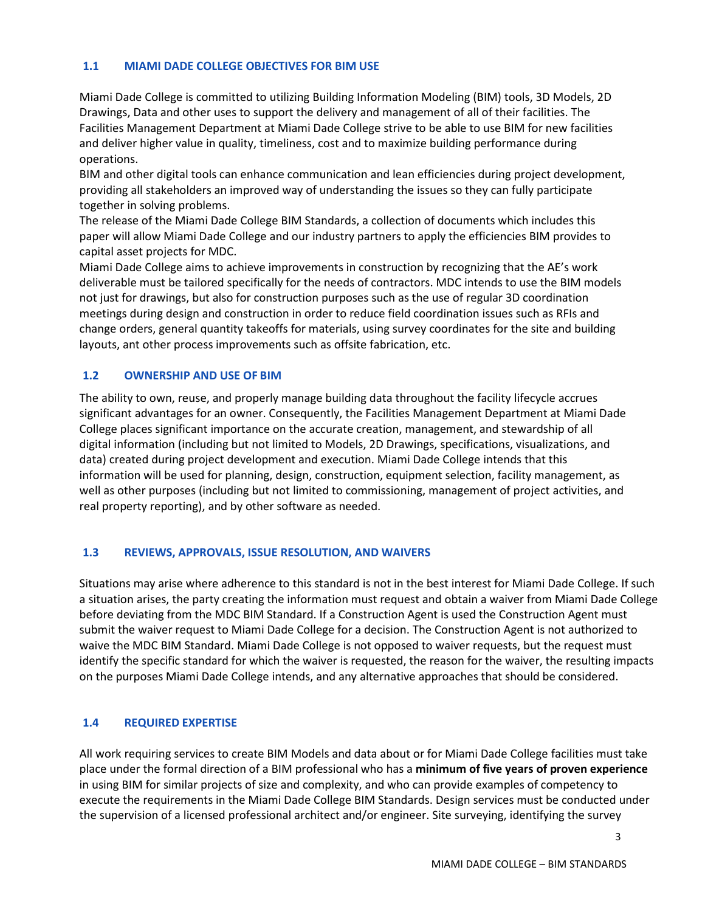#### <span id="page-2-0"></span>**1.1 MIAMI DADE COLLEGE OBJECTIVES FOR BIM USE**

Miami Dade College is committed to utilizing Building Information Modeling (BIM) tools, 3D Models, 2D Drawings, Data and other uses to support the delivery and management of all of their facilities. The Facilities Management Department at Miami Dade College strive to be able to use BIM for new facilities and deliver higher value in quality, timeliness, cost and to maximize building performance during operations.

BIM and other digital tools can enhance communication and lean efficiencies during project development, providing all stakeholders an improved way of understanding the issues so they can fully participate together in solving problems.

The release of the Miami Dade College BIM Standards, a collection of documents which includes this paper will allow Miami Dade College and our industry partners to apply the efficiencies BIM provides to capital asset projects for MDC.

Miami Dade College aims to achieve improvements in construction by recognizing that the AE's work deliverable must be tailored specifically for the needs of contractors. MDC intends to use the BIM models not just for drawings, but also for construction purposes such as the use of regular 3D coordination meetings during design and construction in order to reduce field coordination issues such as RFIs and change orders, general quantity takeoffs for materials, using survey coordinates for the site and building layouts, ant other process improvements such as offsite fabrication, etc.

#### <span id="page-2-1"></span>**1.2 OWNERSHIP AND USE OF BIM**

The ability to own, reuse, and properly manage building data throughout the facility lifecycle accrues significant advantages for an owner. Consequently, the Facilities Management Department at Miami Dade College places significant importance on the accurate creation, management, and stewardship of all digital information (including but not limited to Models, 2D Drawings, specifications, visualizations, and data) created during project development and execution. Miami Dade College intends that this information will be used for planning, design, construction, equipment selection, facility management, as well as other purposes (including but not limited to commissioning, management of project activities, and real property reporting), and by other software as needed.

#### <span id="page-2-2"></span>**1.3 REVIEWS, APPROVALS, ISSUE RESOLUTION, AND WAIVERS**

Situations may arise where adherence to this standard is not in the best interest for Miami Dade College. If such a situation arises, the party creating the information must request and obtain a waiver from Miami Dade College before deviating from the MDC BIM Standard. If a Construction Agent is used the Construction Agent must submit the waiver request to Miami Dade College for a decision. The Construction Agent is not authorized to waive the MDC BIM Standard. Miami Dade College is not opposed to waiver requests, but the request must identify the specific standard for which the waiver is requested, the reason for the waiver, the resulting impacts on the purposes Miami Dade College intends, and any alternative approaches that should be considered.

#### <span id="page-2-3"></span>**1.4 REQUIRED EXPERTISE**

All work requiring services to create BIM Models and data about or for Miami Dade College facilities must take place under the formal direction of a BIM professional who has a **minimum of five years of proven experience**  in using BIM for similar projects of size and complexity, and who can provide examples of competency to execute the requirements in the Miami Dade College BIM Standards. Design services must be conducted under the supervision of a licensed professional architect and/or engineer. Site surveying, identifying the survey

3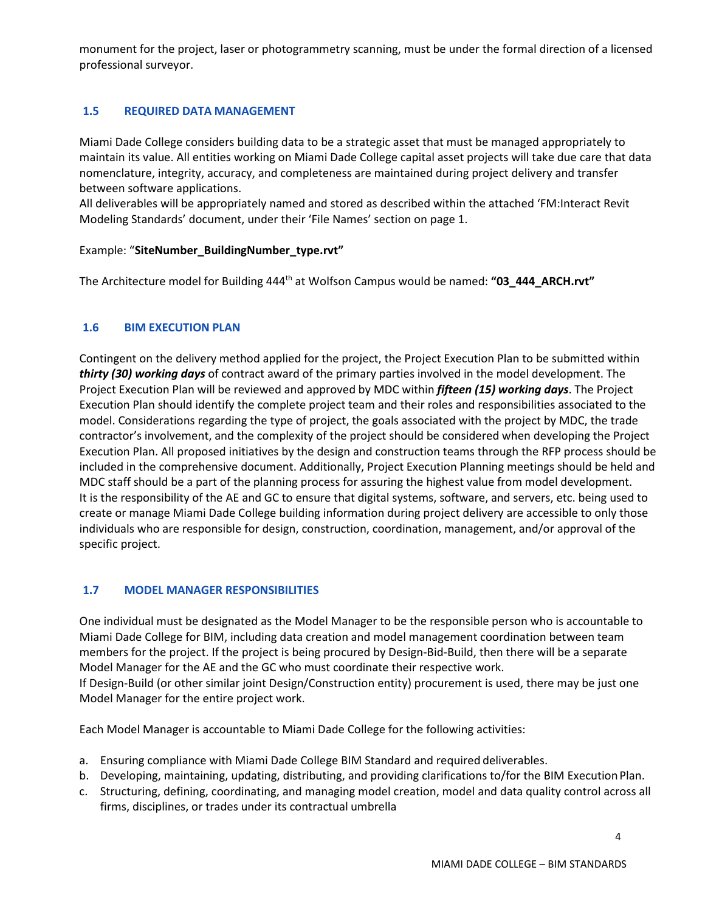monument for the project, laser or photogrammetry scanning, must be under the formal direction of a licensed professional surveyor.

# <span id="page-3-0"></span>**1.5 REQUIRED DATA MANAGEMENT**

Miami Dade College considers building data to be a strategic asset that must be managed appropriately to maintain its value. All entities working on Miami Dade College capital asset projects will take due care that data nomenclature, integrity, accuracy, and completeness are maintained during project delivery and transfer between software applications.

All deliverables will be appropriately named and stored as described within the attached 'FM:Interact Revit Modeling Standards' document, under their 'File Names' section on page 1.

#### Example: "**SiteNumber\_BuildingNumber\_type.rvt"**

The Architecture model for Building 444<sup>th</sup> at Wolfson Campus would be named: "03\_444\_ARCH.rvt"

#### <span id="page-3-1"></span>**1.6 BIM EXECUTION PLAN**

Contingent on the delivery method applied for the project, the Project Execution Plan to be submitted within *thirty (30) working days* of contract award of the primary parties involved in the model development. The Project Execution Plan will be reviewed and approved by MDC within *fifteen (15) working days*. The Project Execution Plan should identify the complete project team and their roles and responsibilities associated to the model. Considerations regarding the type of project, the goals associated with the project by MDC, the trade contractor's involvement, and the complexity of the project should be considered when developing the Project Execution Plan. All proposed initiatives by the design and construction teams through the RFP process should be included in the comprehensive document. Additionally, Project Execution Planning meetings should be held and MDC staff should be a part of the planning process for assuring the highest value from model development. It is the responsibility of the AE and GC to ensure that digital systems, software, and servers, etc. being used to create or manage Miami Dade College building information during project delivery are accessible to only those individuals who are responsible for design, construction, coordination, management, and/or approval of the specific project.

#### <span id="page-3-2"></span>**1.7 MODEL MANAGER RESPONSIBILITIES**

One individual must be designated as the Model Manager to be the responsible person who is accountable to Miami Dade College for BIM, including data creation and model management coordination between team members for the project. If the project is being procured by Design-Bid-Build, then there will be a separate Model Manager for the AE and the GC who must coordinate their respective work. If Design-Build (or other similar joint Design/Construction entity) procurement is used, there may be just one Model Manager for the entire project work.

Each Model Manager is accountable to Miami Dade College for the following activities:

- a. Ensuring compliance with Miami Dade College BIM Standard and required deliverables.
- b. Developing, maintaining, updating, distributing, and providing clarifications to/for the BIM ExecutionPlan.
- c. Structuring, defining, coordinating, and managing model creation, model and data quality control across all firms, disciplines, or trades under its contractual umbrella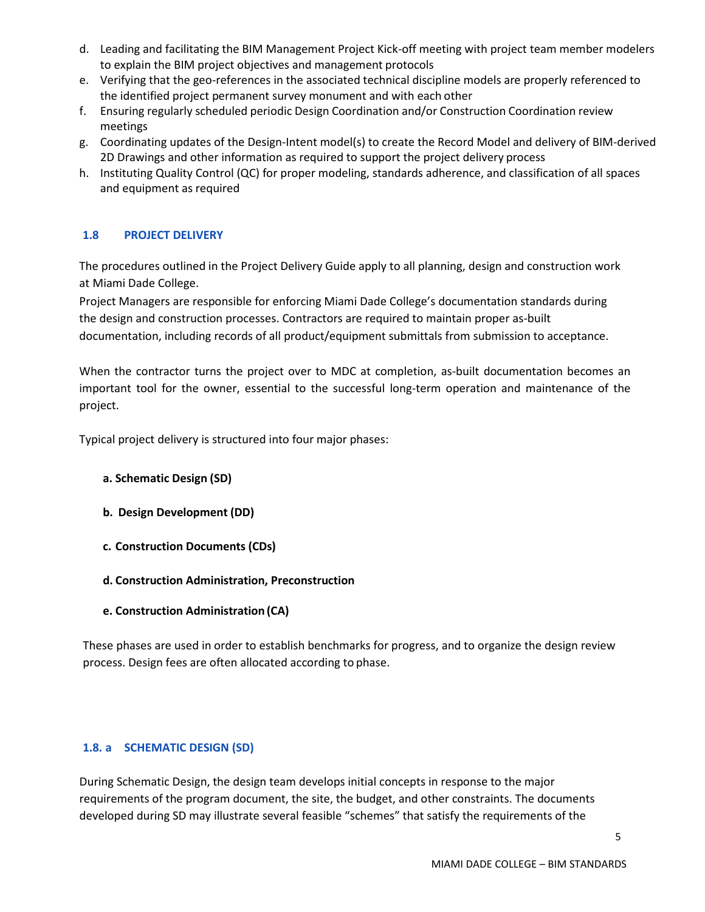- d. Leading and facilitating the BIM Management Project Kick-off meeting with project team member modelers to explain the BIM project objectives and management protocols
- e. Verifying that the geo-references in the associated technical discipline models are properly referenced to the identified project permanent survey monument and with each other
- f. Ensuring regularly scheduled periodic Design Coordination and/or Construction Coordination review meetings
- g. Coordinating updates of the Design-Intent model(s) to create the Record Model and delivery of BIM-derived 2D Drawings and other information as required to support the project delivery process
- h. Instituting Quality Control (QC) for proper modeling, standards adherence, and classification of all spaces and equipment as required

# <span id="page-4-0"></span>**1.8 PROJECT DELIVERY**

The procedures outlined in the Project Delivery Guide apply to all planning, design and construction work at Miami Dade College.

Project Managers are responsible for enforcing Miami Dade College's documentation standards during the design and construction processes. Contractors are required to maintain proper as-built documentation, including records of all product/equipment submittals from submission to acceptance.

When the contractor turns the project over to MDC at completion, as-built documentation becomes an important tool for the owner, essential to the successful long-term operation and maintenance of the project.

Typical project delivery is structured into four major phases:

#### **a. Schematic Design (SD)**

- **b. Design Development (DD)**
- **c. Construction Documents (CDs)**
- **d. Construction Administration, Preconstruction**
- **e. Construction Administration (CA)**

These phases are used in order to establish benchmarks for progress, and to organize the design review process. Design fees are often allocated according to phase.

# <span id="page-4-1"></span>**1.8. a SCHEMATIC DESIGN (SD)**

During Schematic Design, the design team develops initial concepts in response to the major requirements of the program document, the site, the budget, and other constraints. The documents developed during SD may illustrate several feasible "schemes" that satisfy the requirements of the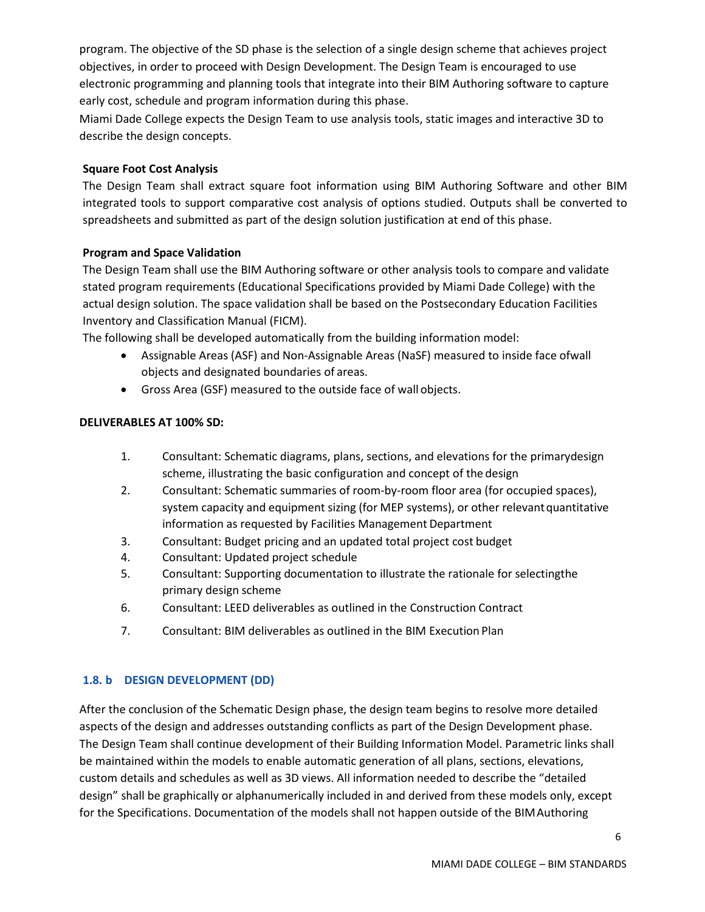program. The objective of the SD phase is the selection of a single design scheme that achieves project objectives, in order to proceed with Design Development. The Design Team is encouraged to use electronic programming and planning tools that integrate into their BIM Authoring software to capture early cost, schedule and program information during this phase.

Miami Dade College expects the Design Team to use analysis tools, static images and interactive 3D to describe the design concepts.

## **Square Foot Cost Analysis**

The Design Team shall extract square foot information using BIM Authoring Software and other BIM integrated tools to support comparative cost analysis of options studied. Outputs shall be converted to spreadsheets and submitted as part of the design solution justification at end of this phase.

#### **Program and Space Validation**

The Design Team shall use the BIM Authoring software or other analysis tools to compare and validate stated program requirements (Educational Specifications provided by Miami Dade College) with the actual design solution. The space validation shall be based on the Postsecondary Education Facilities Inventory and Classification Manual (FICM).

The following shall be developed automatically from the building information model:

- Assignable Areas (ASF) and Non-Assignable Areas (NaSF) measured to inside face ofwall objects and designated boundaries of areas.
- Gross Area (GSF) measured to the outside face of wall objects.

#### **DELIVERABLES AT 100% SD:**

- 1. Consultant: Schematic diagrams, plans, sections, and elevations for the primarydesign scheme, illustrating the basic configuration and concept of the design
- 2. Consultant: Schematic summaries of room-by-room floor area (for occupied spaces), system capacity and equipment sizing (for MEP systems), or other relevantquantitative information as requested by Facilities Management Department
- 3. Consultant: Budget pricing and an updated total project cost budget
- 4. Consultant: Updated project schedule
- 5. Consultant: Supporting documentation to illustrate the rationale for selectingthe primary design scheme
- 6. Consultant: LEED deliverables as outlined in the Construction Contract
- 7. Consultant: BIM deliverables as outlined in the BIM Execution Plan

# <span id="page-5-0"></span>**1.8. b DESIGN DEVELOPMENT (DD)**

After the conclusion of the Schematic Design phase, the design team begins to resolve more detailed aspects of the design and addresses outstanding conflicts as part of the Design Development phase. The Design Team shall continue development of their Building Information Model. Parametric links shall be maintained within the models to enable automatic generation of all plans, sections, elevations, custom details and schedules as well as 3D views. All information needed to describe the "detailed design" shall be graphically or alphanumerically included in and derived from these models only, except for the Specifications. Documentation of the models shall not happen outside of the BIMAuthoring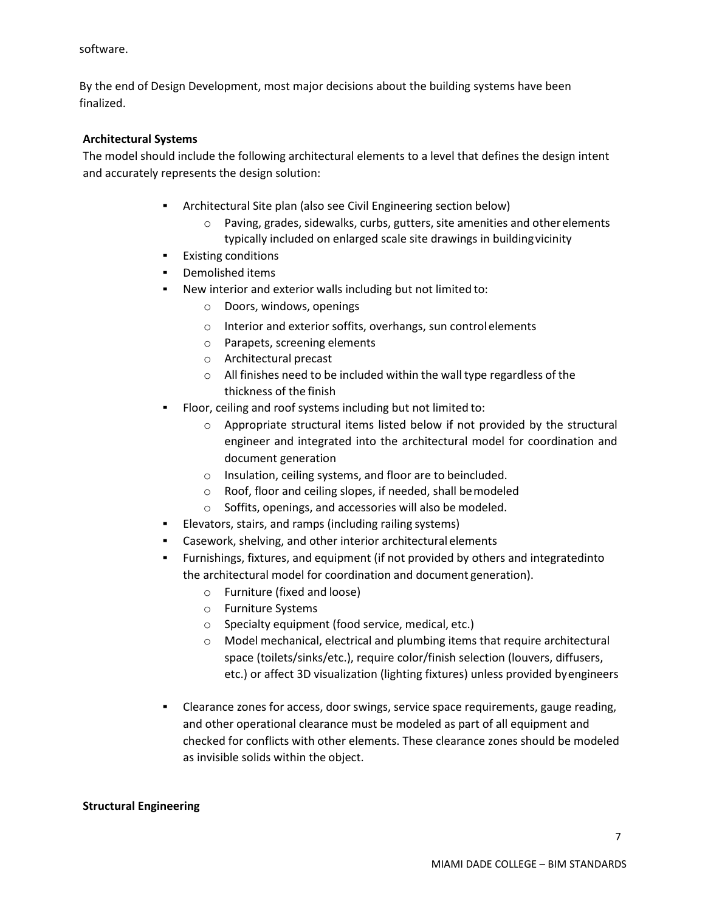software.

By the end of Design Development, most major decisions about the building systems have been finalized.

#### **Architectural Systems**

The model should include the following architectural elements to a level that defines the design intent and accurately represents the design solution:

- Architectural Site plan (also see Civil Engineering section below)
	- $\circ$  Paving, grades, sidewalks, curbs, gutters, site amenities and other elements typically included on enlarged scale site drawings in buildingvicinity
- Existing conditions
- Demolished items
- New interior and exterior walls including but not limited to:
	- o Doors, windows, openings
	- o Interior and exterior soffits, overhangs, sun controlelements
	- o Parapets, screening elements
	- o Architectural precast
	- o All finishes need to be included within the wall type regardless of the thickness of the finish
- Floor, ceiling and roof systems including but not limited to:
	- o Appropriate structural items listed below if not provided by the structural engineer and integrated into the architectural model for coordination and document generation
	- o Insulation, ceiling systems, and floor are to beincluded.
	- o Roof, floor and ceiling slopes, if needed, shall bemodeled
	- o Soffits, openings, and accessories will also be modeled.
- Elevators, stairs, and ramps (including railing systems)
- Casework, shelving, and other interior architectural elements
- Furnishings, fixtures, and equipment (if not provided by others and integratedinto the architectural model for coordination and document generation).
	- o Furniture (fixed and loose)
	- o Furniture Systems
	- o Specialty equipment (food service, medical, etc.)
	- $\circ$  Model mechanical, electrical and plumbing items that require architectural space (toilets/sinks/etc.), require color/finish selection (louvers, diffusers, etc.) or affect 3D visualization (lighting fixtures) unless provided byengineers
- Clearance zones for access, door swings, service space requirements, gauge reading, and other operational clearance must be modeled as part of all equipment and checked for conflicts with other elements. These clearance zones should be modeled as invisible solids within the object.

#### **Structural Engineering**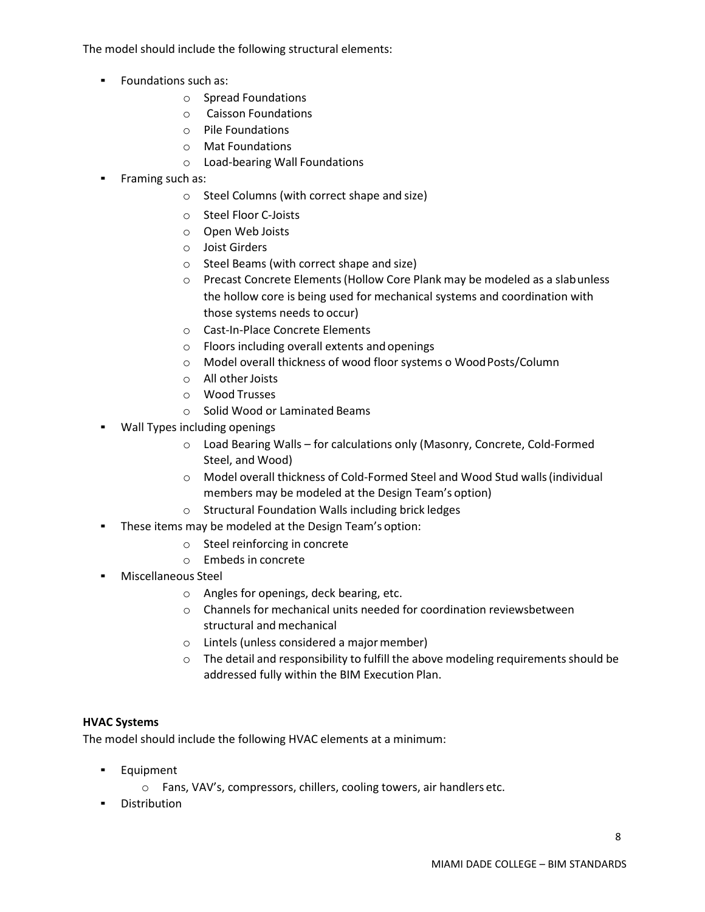The model should include the following structural elements:

- Foundations such as:
	- o Spread Foundations
	- o Caisson Foundations
	- o Pile Foundations
	- o Mat Foundations
	- o Load-bearing Wall Foundations
- Framing such as:
	- o Steel Columns (with correct shape and size)
	- o Steel Floor C-Joists
	- o Open Web Joists
	- o Joist Girders
	- o Steel Beams (with correct shape and size)
	- o Precast Concrete Elements(Hollow Core Plank may be modeled as a slabunless the hollow core is being used for mechanical systems and coordination with those systems needs to occur)
	- o Cast-In-Place Concrete Elements
	- o Floors including overall extents and openings
	- o Model overall thickness of wood floor systems o WoodPosts/Column
	- o All otherJoists
	- o Wood Trusses
	- o Solid Wood or Laminated Beams
- Wall Types including openings
	- o Load Bearing Walls for calculations only (Masonry, Concrete, Cold-Formed Steel, and Wood)
	- o Model overall thickness of Cold-Formed Steel and Wood Stud walls(individual members may be modeled at the Design Team's option)
	- o Structural Foundation Walls including brick ledges
- These items may be modeled at the Design Team's option:
	- o Steel reinforcing in concrete
	- o Embeds in concrete
- Miscellaneous Steel
	- o Angles for openings, deck bearing, etc.
	- o Channels for mechanical units needed for coordination reviewsbetween structural and mechanical
	- $\circ$  Lintels (unless considered a major member)
	- $\circ$  The detail and responsibility to fulfill the above modeling requirements should be addressed fully within the BIM Execution Plan.

#### **HVAC Systems**

The model should include the following HVAC elements at a minimum:

- Equipment
	- o Fans, VAV's, compressors, chillers, cooling towers, air handlers etc.
- **•** Distribution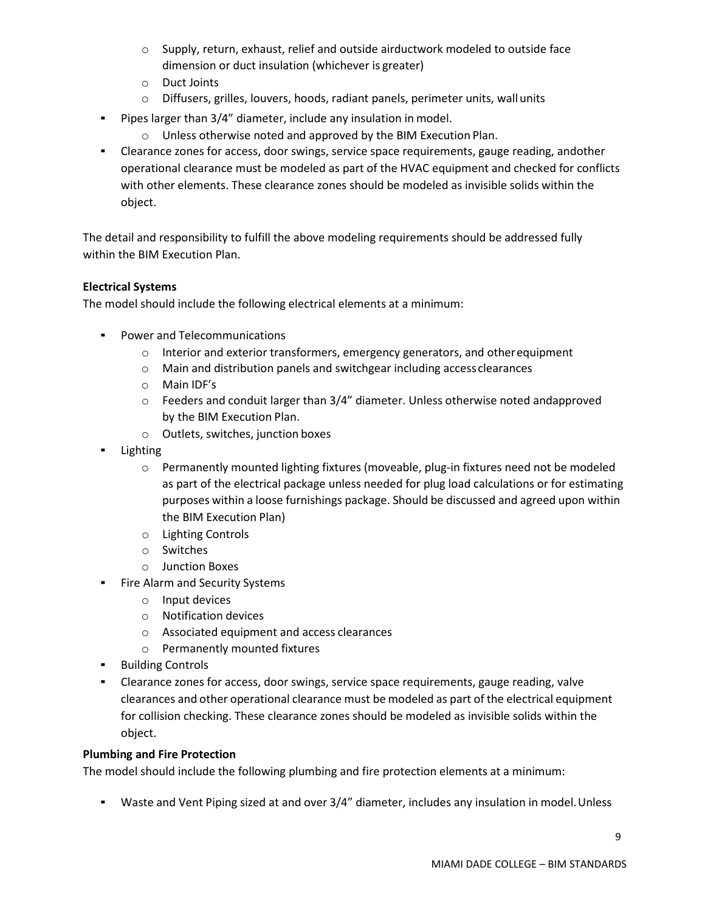- o Supply, return, exhaust, relief and outside airductwork modeled to outside face dimension or duct insulation (whichever is greater)
- o Duct Joints
- o Diffusers, grilles, louvers, hoods, radiant panels, perimeter units, wall units
- Pipes larger than 3/4" diameter, include any insulation in model.
	- o Unless otherwise noted and approved by the BIM Execution Plan.
- **EXED EXECO 20 A 20 FM 20 FM 20 FM 20 FM 20 FM 20 FM 20 FM 20 FM 20 FM 20 FM 20 FM 20 FM 20 FM 20 FM 20 FM 20 FM** operational clearance must be modeled as part of the HVAC equipment and checked for conflicts with other elements. These clearance zones should be modeled as invisible solids within the object.

The detail and responsibility to fulfill the above modeling requirements should be addressed fully within the BIM Execution Plan.

#### **Electrical Systems**

The model should include the following electrical elements at a minimum:

- Power and Telecommunications
	- $\circ$  Interior and exterior transformers, emergency generators, and other equipment
	- o Main and distribution panels and switchgear including access clearances
	- o Main IDF's
	- $\circ$  Feeders and conduit larger than 3/4" diameter. Unless otherwise noted andapproved by the BIM Execution Plan.
	- o Outlets, switches, junction boxes
- **Lighting** 
	- o Permanently mounted lighting fixtures (moveable, plug-in fixtures need not be modeled as part of the electrical package unless needed for plug load calculations or for estimating purposes within a loose furnishings package. Should be discussed and agreed upon within the BIM Execution Plan)
	- o Lighting Controls
	- o Switches
	- o Junction Boxes
- Fire Alarm and Security Systems
	- o Input devices
	- o Notification devices
	- o Associated equipment and access clearances
	- o Permanently mounted fixtures
- Building Controls
- Clearance zones for access, door swings, service space requirements, gauge reading, valve clearances and other operational clearance must be modeled as part of the electrical equipment for collision checking. These clearance zones should be modeled as invisible solids within the object.

#### **Plumbing and Fire Protection**

The model should include the following plumbing and fire protection elements at a minimum:

**•** Waste and Vent Piping sized at and over  $3/4$ " diameter, includes any insulation in model. Unless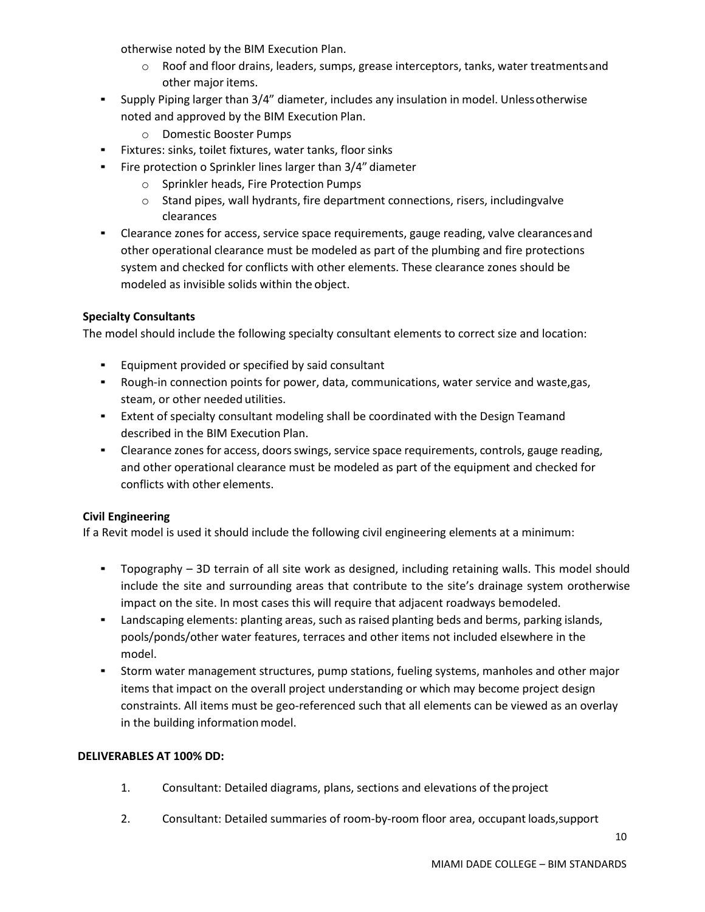otherwise noted by the BIM Execution Plan.

- o Roof and floor drains, leaders, sumps, grease interceptors, tanks, water treatmentsand other major items.
- Supply Piping larger than 3/4" diameter, includes any insulation in model. Unlessotherwise noted and approved by the BIM Execution Plan.
	- o Domestic Booster Pumps
- Fixtures: sinks, toilet fixtures, water tanks, floor sinks
- Fire protection o Sprinkler lines larger than 3/4" diameter
	- o Sprinkler heads, Fire Protection Pumps
	- o Stand pipes, wall hydrants, fire department connections, risers, includingvalve clearances
- Clearance zones for access, service space requirements, gauge reading, valve clearancesand other operational clearance must be modeled as part of the plumbing and fire protections system and checked for conflicts with other elements. These clearance zones should be modeled as invisible solids within the object.

# **Specialty Consultants**

The model should include the following specialty consultant elements to correct size and location:

- Equipment provided or specified by said consultant
- Rough-in connection points for power, data, communications, water service and waste,gas, steam, or other needed utilities.
- Extent of specialty consultant modeling shall be coordinated with the Design Teamand described in the BIM Execution Plan.
- Clearance zones for access, doors swings, service space requirements, controls, gauge reading, and other operational clearance must be modeled as part of the equipment and checked for conflicts with other elements.

# **Civil Engineering**

If a Revit model is used it should include the following civil engineering elements at a minimum:

- Topography 3D terrain of all site work as designed, including retaining walls. This model should include the site and surrounding areas that contribute to the site's drainage system orotherwise impact on the site. In most cases this will require that adjacent roadways bemodeled.
- Landscaping elements: planting areas, such as raised planting beds and berms, parking islands, pools/ponds/other water features, terraces and other items not included elsewhere in the model.
- Storm water management structures, pump stations, fueling systems, manholes and other major items that impact on the overall project understanding or which may become project design constraints. All items must be geo-referenced such that all elements can be viewed as an overlay in the building information model.

## **DELIVERABLES AT 100% DD:**

- 1. Consultant: Detailed diagrams, plans, sections and elevations of theproject
- 2. Consultant: Detailed summaries of room-by-room floor area, occupant loads,support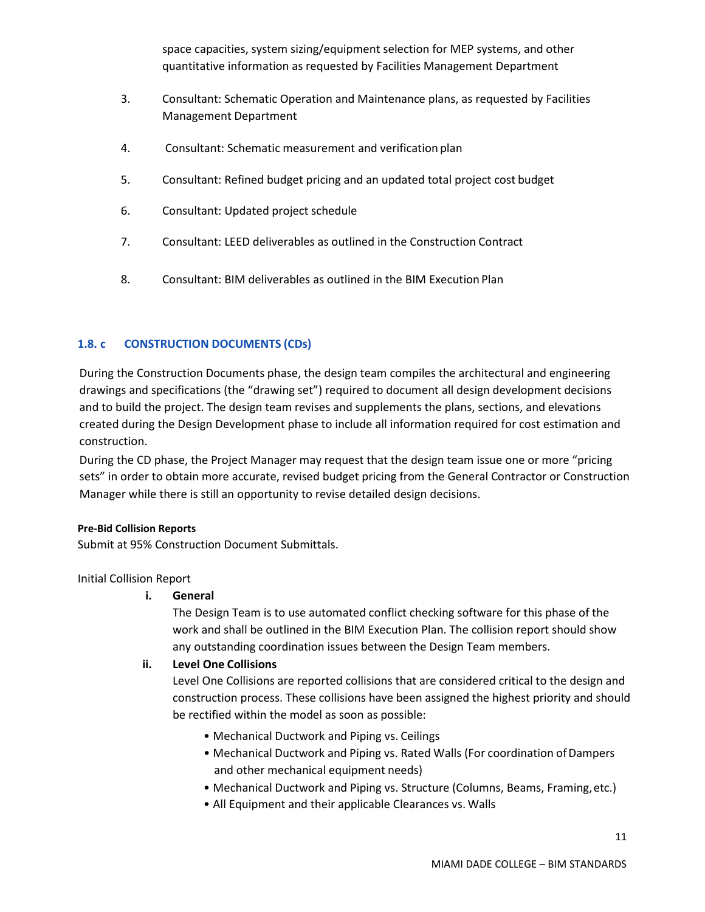space capacities, system sizing/equipment selection for MEP systems, and other quantitative information as requested by Facilities Management Department

- 3. Consultant: Schematic Operation and Maintenance plans, as requested by Facilities Management Department
- 4. Consultant: Schematic measurement and verification plan
- 5. Consultant: Refined budget pricing and an updated total project cost budget
- 6. Consultant: Updated project schedule
- 7. Consultant: LEED deliverables as outlined in the Construction Contract
- 8. Consultant: BIM deliverables as outlined in the BIM Execution Plan

# <span id="page-10-0"></span>**1.8. c CONSTRUCTION DOCUMENTS (CDs)**

During the Construction Documents phase, the design team compiles the architectural and engineering drawings and specifications (the "drawing set") required to document all design development decisions and to build the project. The design team revises and supplements the plans, sections, and elevations created during the Design Development phase to include all information required for cost estimation and construction.

During the CD phase, the Project Manager may request that the design team issue one or more "pricing sets" in order to obtain more accurate, revised budget pricing from the General Contractor or Construction Manager while there is still an opportunity to revise detailed design decisions.

#### **Pre-Bid Collision Reports**

Submit at 95% Construction Document Submittals.

Initial Collision Report

# **i. General**

The Design Team is to use automated conflict checking software for this phase of the work and shall be outlined in the BIM Execution Plan. The collision report should show any outstanding coordination issues between the Design Team members.

#### **ii. Level One Collisions**

Level One Collisions are reported collisions that are considered critical to the design and construction process. These collisions have been assigned the highest priority and should be rectified within the model as soon as possible:

- Mechanical Ductwork and Piping vs. Ceilings
- Mechanical Ductwork and Piping vs. Rated Walls (For coordination of Dampers and other mechanical equipment needs)
- Mechanical Ductwork and Piping vs. Structure (Columns, Beams, Framing,etc.)
- All Equipment and their applicable Clearances vs. Walls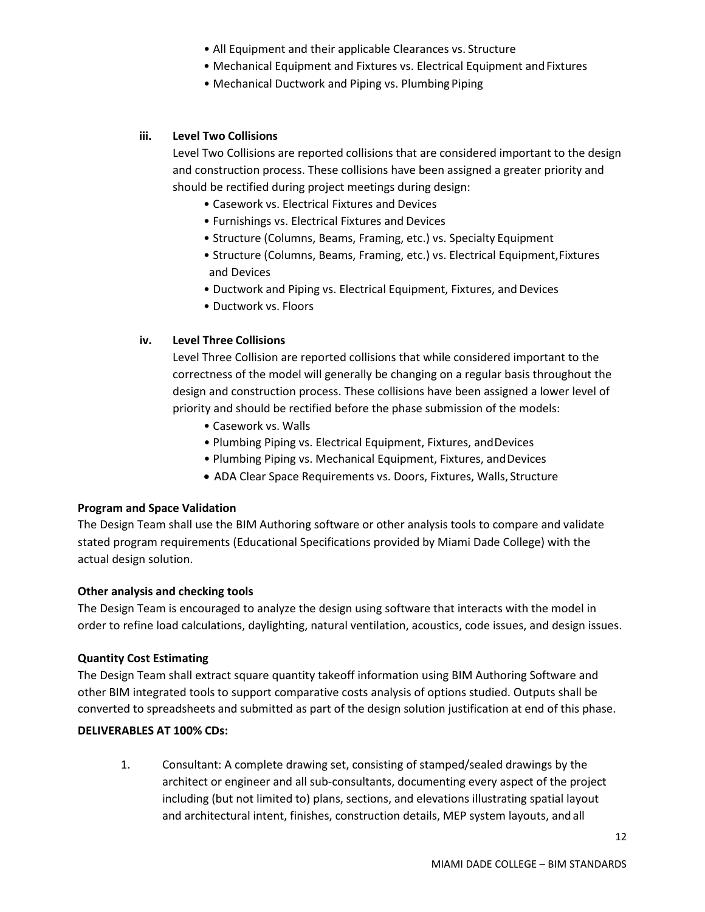- All Equipment and their applicable Clearances vs. Structure
- Mechanical Equipment and Fixtures vs. Electrical Equipment and Fixtures
- Mechanical Ductwork and Piping vs. Plumbing Piping

#### **iii. Level Two Collisions**

Level Two Collisions are reported collisions that are considered important to the design and construction process. These collisions have been assigned a greater priority and should be rectified during project meetings during design:

- Casework vs. Electrical Fixtures and Devices
- Furnishings vs. Electrical Fixtures and Devices
- Structure (Columns, Beams, Framing, etc.) vs. Specialty Equipment
- Structure (Columns, Beams, Framing, etc.) vs. Electrical Equipment,Fixtures and Devices
- Ductwork and Piping vs. Electrical Equipment, Fixtures, and Devices
- Ductwork vs. Floors

#### **iv. Level Three Collisions**

Level Three Collision are reported collisions that while considered important to the correctness of the model will generally be changing on a regular basis throughout the design and construction process. These collisions have been assigned a lower level of priority and should be rectified before the phase submission of the models:

- Casework vs. Walls
- Plumbing Piping vs. Electrical Equipment, Fixtures, andDevices
- Plumbing Piping vs. Mechanical Equipment, Fixtures, andDevices
- ADA Clear Space Requirements vs. Doors, Fixtures, Walls, Structure

#### **Program and Space Validation**

The Design Team shall use the BIM Authoring software or other analysis tools to compare and validate stated program requirements (Educational Specifications provided by Miami Dade College) with the actual design solution.

#### **Other analysis and checking tools**

The Design Team is encouraged to analyze the design using software that interacts with the model in order to refine load calculations, daylighting, natural ventilation, acoustics, code issues, and design issues.

#### **Quantity Cost Estimating**

The Design Team shall extract square quantity takeoff information using BIM Authoring Software and other BIM integrated tools to support comparative costs analysis of options studied. Outputs shall be converted to spreadsheets and submitted as part of the design solution justification at end of this phase.

# **DELIVERABLES AT 100% CDs:**

1. Consultant: A complete drawing set, consisting of stamped/sealed drawings by the architect or engineer and all sub-consultants, documenting every aspect of the project including (but not limited to) plans, sections, and elevations illustrating spatial layout and architectural intent, finishes, construction details, MEP system layouts, and all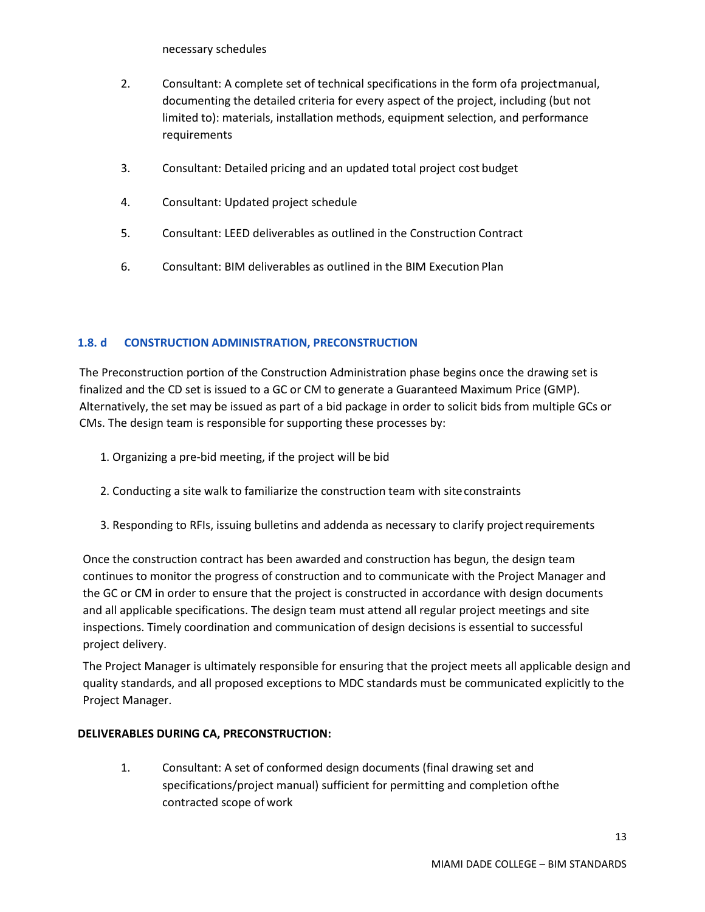necessary schedules

- 2. Consultant: A complete set of technical specifications in the form ofa projectmanual, documenting the detailed criteria for every aspect of the project, including (but not limited to): materials, installation methods, equipment selection, and performance requirements
- 3. Consultant: Detailed pricing and an updated total project cost budget
- 4. Consultant: Updated project schedule
- 5. Consultant: LEED deliverables as outlined in the Construction Contract
- 6. Consultant: BIM deliverables as outlined in the BIM Execution Plan

# <span id="page-12-0"></span>**1.8. d CONSTRUCTION ADMINISTRATION, PRECONSTRUCTION**

The Preconstruction portion of the Construction Administration phase begins once the drawing set is finalized and the CD set is issued to a GC or CM to generate a Guaranteed Maximum Price (GMP). Alternatively, the set may be issued as part of a bid package in order to solicit bids from multiple GCs or CMs. The design team is responsible for supporting these processes by:

- 1. Organizing a pre-bid meeting, if the project will be bid
- 2. Conducting a site walk to familiarize the construction team with siteconstraints
- 3. Responding to RFIs, issuing bulletins and addenda as necessary to clarify projectrequirements

Once the construction contract has been awarded and construction has begun, the design team continues to monitor the progress of construction and to communicate with the Project Manager and the GC or CM in order to ensure that the project is constructed in accordance with design documents and all applicable specifications. The design team must attend all regular project meetings and site inspections. Timely coordination and communication of design decisions is essential to successful project delivery.

The Project Manager is ultimately responsible for ensuring that the project meets all applicable design and quality standards, and all proposed exceptions to MDC standards must be communicated explicitly to the Project Manager.

# **DELIVERABLES DURING CA, PRECONSTRUCTION:**

1. Consultant: A set of conformed design documents (final drawing set and specifications/project manual) sufficient for permitting and completion ofthe contracted scope of work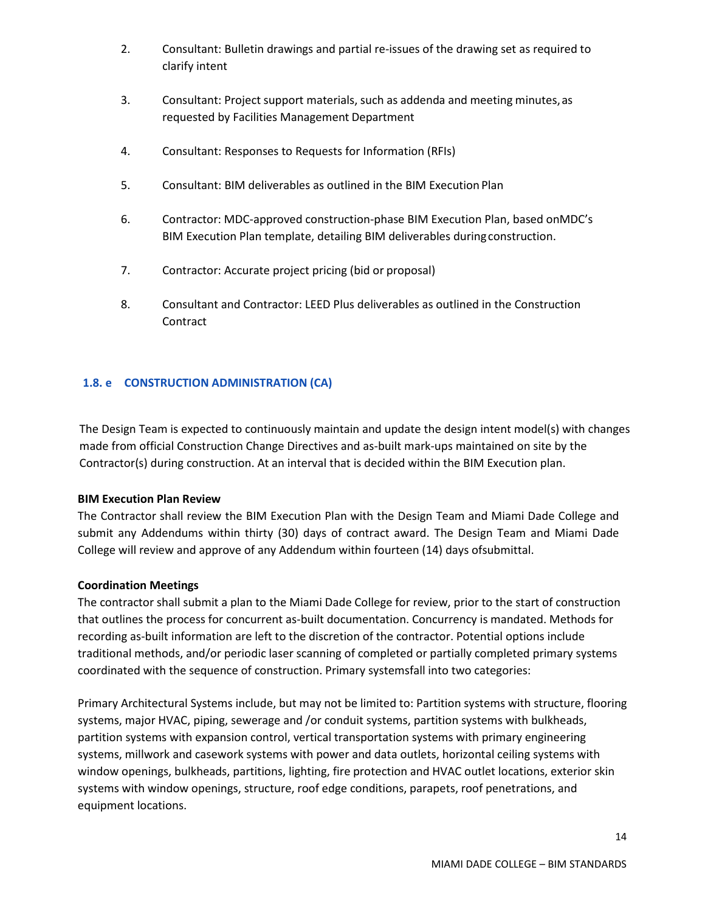- 2. Consultant: Bulletin drawings and partial re-issues of the drawing set as required to clarify intent
- 3. Consultant: Project support materials, such as addenda and meeting minutes,as requested by Facilities Management Department
- 4. Consultant: Responses to Requests for Information (RFIs)
- 5. Consultant: BIM deliverables as outlined in the BIM Execution Plan
- 6. Contractor: MDC-approved construction-phase BIM Execution Plan, based onMDC's BIM Execution Plan template, detailing BIM deliverables duringconstruction.
- 7. Contractor: Accurate project pricing (bid or proposal)
- 8. Consultant and Contractor: LEED Plus deliverables as outlined in the Construction **Contract**

#### <span id="page-13-0"></span>**1.8. e CONSTRUCTION ADMINISTRATION (CA)**

The Design Team is expected to continuously maintain and update the design intent model(s) with changes made from official Construction Change Directives and as-built mark-ups maintained on site by the Contractor(s) during construction. At an interval that is decided within the BIM Execution plan.

#### **BIM Execution Plan Review**

The Contractor shall review the BIM Execution Plan with the Design Team and Miami Dade College and submit any Addendums within thirty (30) days of contract award. The Design Team and Miami Dade College will review and approve of any Addendum within fourteen (14) days ofsubmittal.

#### **Coordination Meetings**

The contractor shall submit a plan to the Miami Dade College for review, prior to the start of construction that outlines the process for concurrent as-built documentation. Concurrency is mandated. Methods for recording as-built information are left to the discretion of the contractor. Potential options include traditional methods, and/or periodic laser scanning of completed or partially completed primary systems coordinated with the sequence of construction. Primary systemsfall into two categories:

Primary Architectural Systems include, but may not be limited to: Partition systems with structure, flooring systems, major HVAC, piping, sewerage and /or conduit systems, partition systems with bulkheads, partition systems with expansion control, vertical transportation systems with primary engineering systems, millwork and casework systems with power and data outlets, horizontal ceiling systems with window openings, bulkheads, partitions, lighting, fire protection and HVAC outlet locations, exterior skin systems with window openings, structure, roof edge conditions, parapets, roof penetrations, and equipment locations.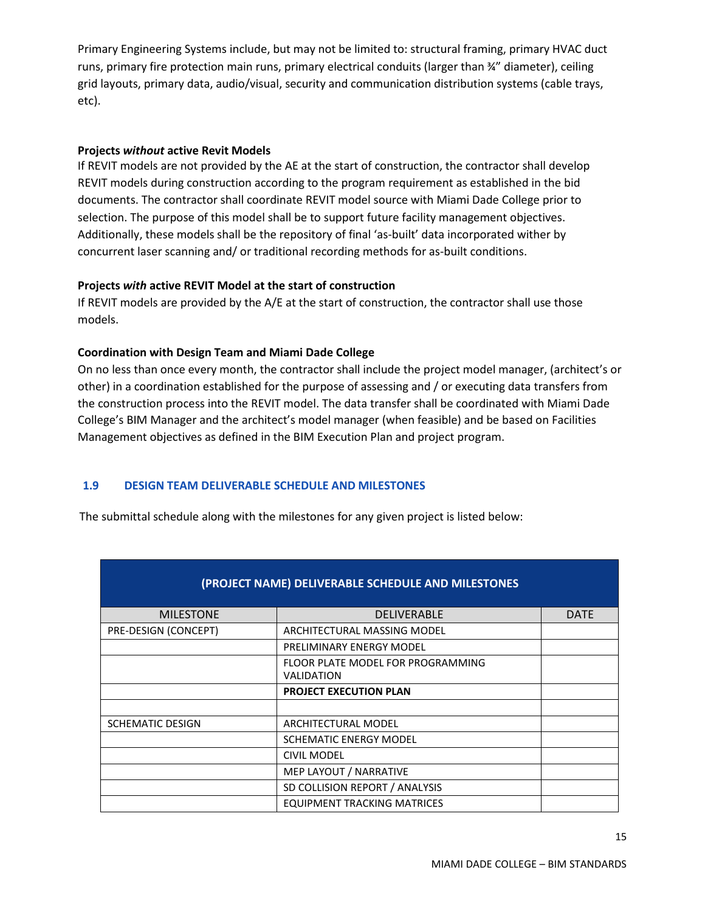Primary Engineering Systems include, but may not be limited to: structural framing, primary HVAC duct runs, primary fire protection main runs, primary electrical conduits (larger than ¾" diameter), ceiling grid layouts, primary data, audio/visual, security and communication distribution systems (cable trays, etc).

#### **Projects** *without* **active Revit Models**

If REVIT models are not provided by the AE at the start of construction, the contractor shall develop REVIT models during construction according to the program requirement as established in the bid documents. The contractor shall coordinate REVIT model source with Miami Dade College prior to selection. The purpose of this model shall be to support future facility management objectives. Additionally, these models shall be the repository of final 'as-built' data incorporated wither by concurrent laser scanning and/ or traditional recording methods for as-built conditions.

#### **Projects** *with* **active REVIT Model at the start of construction**

If REVIT models are provided by the A/E at the start of construction, the contractor shall use those models.

#### **Coordination with Design Team and Miami Dade College**

On no less than once every month, the contractor shall include the project model manager, (architect's or other) in a coordination established for the purpose of assessing and / or executing data transfers from the construction process into the REVIT model. The data transfer shall be coordinated with Miami Dade College's BIM Manager and the architect's model manager (when feasible) and be based on Facilities Management objectives as defined in the BIM Execution Plan and project program.

# <span id="page-14-0"></span>**1.9 DESIGN TEAM DELIVERABLE SCHEDULE AND MILESTONES**

The submittal schedule along with the milestones for any given project is listed below:

| (PROJECT NAME) DELIVERABLE SCHEDULE AND MILESTONES |                                                        |             |  |
|----------------------------------------------------|--------------------------------------------------------|-------------|--|
| <b>MILESTONE</b>                                   | <b>DELIVERABLE</b>                                     | <b>DATE</b> |  |
| PRE-DESIGN (CONCEPT)                               | ARCHITECTURAL MASSING MODEL                            |             |  |
|                                                    | PRELIMINARY ENERGY MODEL                               |             |  |
|                                                    | FLOOR PLATE MODEL FOR PROGRAMMING<br><b>VALIDATION</b> |             |  |
|                                                    | <b>PROJECT EXECUTION PLAN</b>                          |             |  |
|                                                    |                                                        |             |  |
| <b>SCHEMATIC DESIGN</b>                            | ARCHITECTURAL MODEL                                    |             |  |
|                                                    | <b>SCHEMATIC ENERGY MODEL</b>                          |             |  |
|                                                    | <b>CIVIL MODEL</b>                                     |             |  |
|                                                    | MEP LAYOUT / NARRATIVE                                 |             |  |
|                                                    | SD COLLISION REPORT / ANALYSIS                         |             |  |
|                                                    | <b>EQUIPMENT TRACKING MATRICES</b>                     |             |  |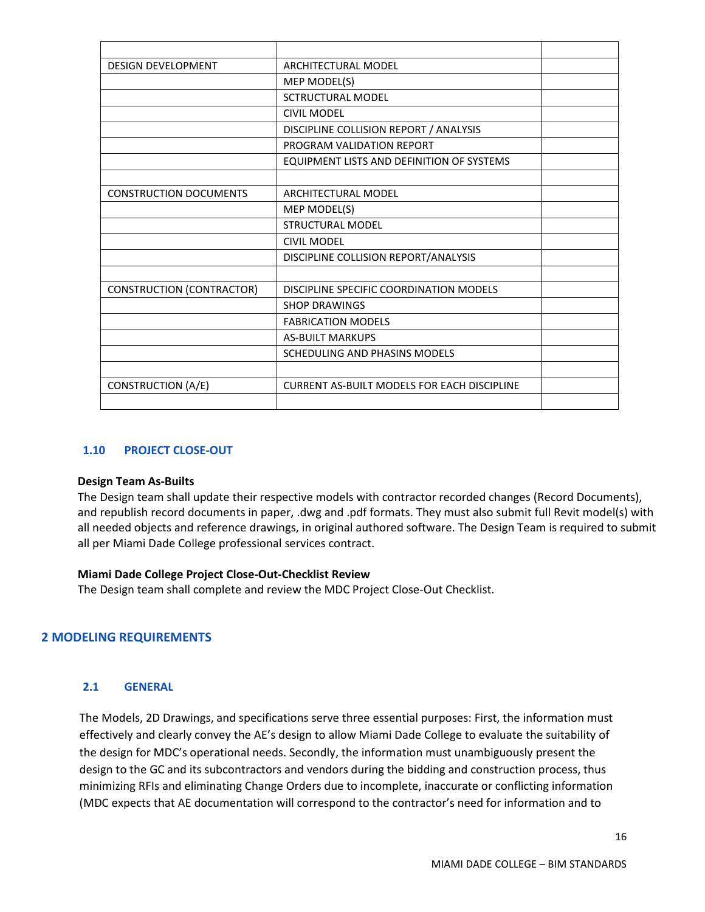| <b>DESIGN DEVELOPMENT</b>        | <b>ARCHITECTURAL MODEL</b>                         |  |
|----------------------------------|----------------------------------------------------|--|
|                                  | MEP MODEL(S)                                       |  |
|                                  | <b>SCTRUCTURAL MODEL</b>                           |  |
|                                  | <b>CIVIL MODEL</b>                                 |  |
|                                  | DISCIPLINE COLLISION REPORT / ANALYSIS             |  |
|                                  | PROGRAM VALIDATION REPORT                          |  |
|                                  | EQUIPMENT LISTS AND DEFINITION OF SYSTEMS          |  |
|                                  |                                                    |  |
| <b>CONSTRUCTION DOCUMENTS</b>    | ARCHITECTURAL MODEL                                |  |
|                                  | MEP MODEL(S)                                       |  |
|                                  | <b>STRUCTURAL MODEL</b>                            |  |
|                                  | <b>CIVIL MODEL</b>                                 |  |
|                                  | DISCIPLINE COLLISION REPORT/ANALYSIS               |  |
|                                  |                                                    |  |
| <b>CONSTRUCTION (CONTRACTOR)</b> | DISCIPLINE SPECIFIC COORDINATION MODELS            |  |
|                                  | <b>SHOP DRAWINGS</b>                               |  |
|                                  | <b>FABRICATION MODELS</b>                          |  |
|                                  | <b>AS-BUILT MARKUPS</b>                            |  |
|                                  | SCHEDULING AND PHASINS MODELS                      |  |
|                                  |                                                    |  |
| <b>CONSTRUCTION (A/E)</b>        | <b>CURRENT AS-BUILT MODELS FOR EACH DISCIPLINE</b> |  |
|                                  |                                                    |  |
|                                  |                                                    |  |

#### <span id="page-15-0"></span>**1.10 PROJECT CLOSE-OUT**

#### **Design Team As-Builts**

The Design team shall update their respective models with contractor recorded changes (Record Documents), and republish record documents in paper, .dwg and .pdf formats. They must also submit full Revit model(s) with all needed objects and reference drawings, in original authored software. The Design Team is required to submit all per Miami Dade College professional services contract.

#### **Miami Dade College Project Close-Out-Checklist Review**

The Design team shall complete and review the MDC Project Close-Out Checklist.

#### <span id="page-15-2"></span><span id="page-15-1"></span>**2 MODELING REQUIREMENTS**

#### **2.1 GENERAL**

The Models, 2D Drawings, and specifications serve three essential purposes: First, the information must effectively and clearly convey the AE's design to allow Miami Dade College to evaluate the suitability of the design for MDC's operational needs. Secondly, the information must unambiguously present the design to the GC and its subcontractors and vendors during the bidding and construction process, thus minimizing RFIs and eliminating Change Orders due to incomplete, inaccurate or conflicting information (MDC expects that AE documentation will correspond to the contractor's need for information and to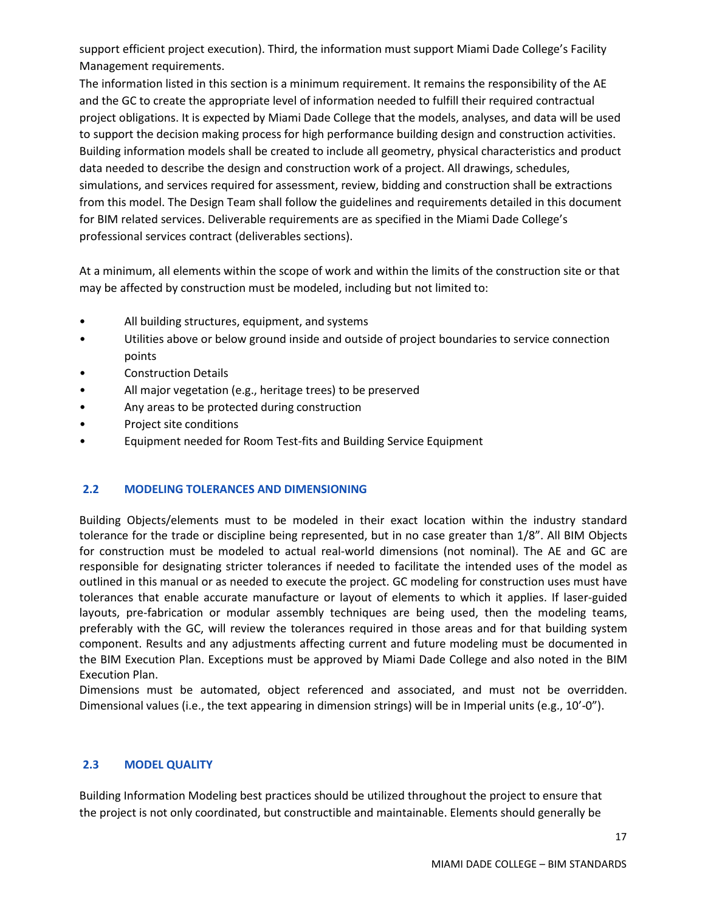support efficient project execution). Third, the information must support Miami Dade College's Facility Management requirements.

The information listed in this section is a minimum requirement. It remains the responsibility of the AE and the GC to create the appropriate level of information needed to fulfill their required contractual project obligations. It is expected by Miami Dade College that the models, analyses, and data will be used to support the decision making process for high performance building design and construction activities. Building information models shall be created to include all geometry, physical characteristics and product data needed to describe the design and construction work of a project. All drawings, schedules, simulations, and services required for assessment, review, bidding and construction shall be extractions from this model. The Design Team shall follow the guidelines and requirements detailed in this document for BIM related services. Deliverable requirements are as specified in the Miami Dade College's professional services contract (deliverables sections).

At a minimum, all elements within the scope of work and within the limits of the construction site or that may be affected by construction must be modeled, including but not limited to:

- All building structures, equipment, and systems
- Utilities above or below ground inside and outside of project boundaries to service connection points
- Construction Details
- All major vegetation (e.g., heritage trees) to be preserved
- Any areas to be protected during construction
- Project site conditions
- Equipment needed for Room Test-fits and Building Service Equipment

# <span id="page-16-0"></span>**2.2 MODELING TOLERANCES AND DIMENSIONING**

Building Objects/elements must to be modeled in their exact location within the industry standard tolerance for the trade or discipline being represented, but in no case greater than 1/8". All BIM Objects for construction must be modeled to actual real-world dimensions (not nominal). The AE and GC are responsible for designating stricter tolerances if needed to facilitate the intended uses of the model as outlined in this manual or as needed to execute the project. GC modeling for construction uses must have tolerances that enable accurate manufacture or layout of elements to which it applies. If laser-guided layouts, pre-fabrication or modular assembly techniques are being used, then the modeling teams, preferably with the GC, will review the tolerances required in those areas and for that building system component. Results and any adjustments affecting current and future modeling must be documented in the BIM Execution Plan. Exceptions must be approved by Miami Dade College and also noted in the BIM Execution Plan.

Dimensions must be automated, object referenced and associated, and must not be overridden. Dimensional values (i.e., the text appearing in dimension strings) will be in Imperial units (e.g., 10'-0").

# <span id="page-16-1"></span>**2.3 MODEL QUALITY**

Building Information Modeling best practices should be utilized throughout the project to ensure that the project is not only coordinated, but constructible and maintainable. Elements should generally be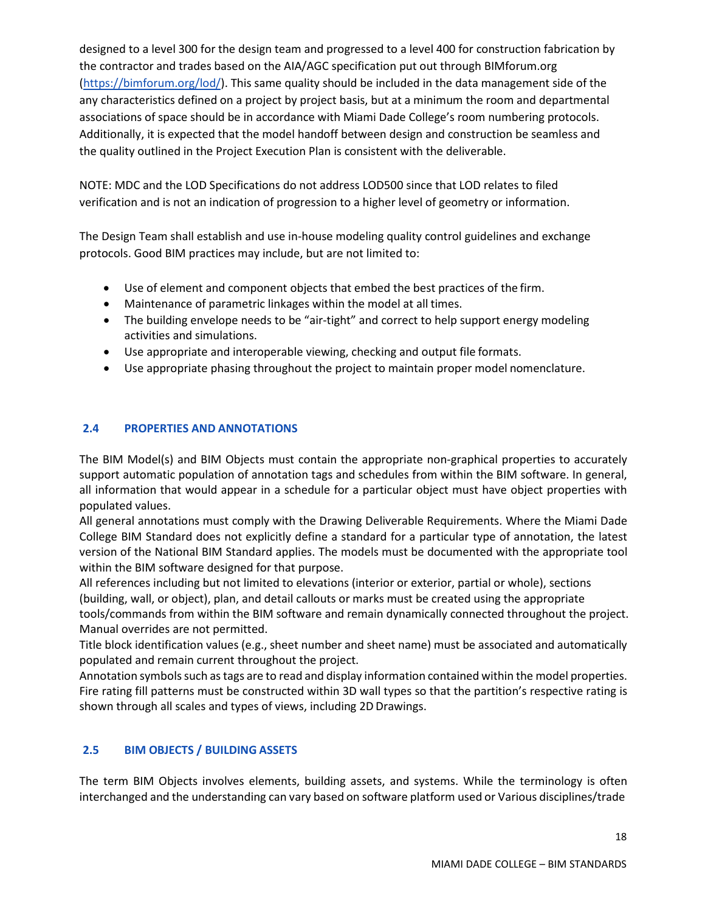designed to a level 300 for the design team and progressed to a level 400 for construction fabrication by the contractor and trades based on the AIA/AGC specification put out through BIMforum.org [\(https://bimforum.org/lod/\)](https://bimforum.org/lod/). This same quality should be included in the data management side of the any characteristics defined on a project by project basis, but at a minimum the room and departmental associations of space should be in accordance with Miami Dade College's room numbering protocols. Additionally, it is expected that the model handoff between design and construction be seamless and the quality outlined in the Project Execution Plan is consistent with the deliverable.

NOTE: MDC and the LOD Specifications do not address LOD500 since that LOD relates to filed verification and is not an indication of progression to a higher level of geometry or information.

The Design Team shall establish and use in-house modeling quality control guidelines and exchange protocols. Good BIM practices may include, but are not limited to:

- Use of element and component objects that embed the best practices of the firm.
- Maintenance of parametric linkages within the model at all times.
- The building envelope needs to be "air-tight" and correct to help support energy modeling activities and simulations.
- Use appropriate and interoperable viewing, checking and output file formats.
- Use appropriate phasing throughout the project to maintain proper model nomenclature.

# <span id="page-17-0"></span>**2.4 PROPERTIES AND ANNOTATIONS**

The BIM Model(s) and BIM Objects must contain the appropriate non-graphical properties to accurately support automatic population of annotation tags and schedules from within the BIM software. In general, all information that would appear in a schedule for a particular object must have object properties with populated values.

All general annotations must comply with the Drawing Deliverable Requirements. Where the Miami Dade College BIM Standard does not explicitly define a standard for a particular type of annotation, the latest version of the National BIM Standard applies. The models must be documented with the appropriate tool within the BIM software designed for that purpose.

All references including but not limited to elevations (interior or exterior, partial or whole), sections (building, wall, or object), plan, and detail callouts or marks must be created using the appropriate tools/commands from within the BIM software and remain dynamically connected throughout the project. Manual overrides are not permitted.

Title block identification values (e.g., sheet number and sheet name) must be associated and automatically populated and remain current throughout the project.

Annotation symbols such as tags are to read and display information contained within the model properties. Fire rating fill patterns must be constructed within 3D wall types so that the partition's respective rating is shown through all scales and types of views, including 2D Drawings.

# <span id="page-17-1"></span>**2.5 BIM OBJECTS / BUILDING ASSETS**

The term BIM Objects involves elements, building assets, and systems. While the terminology is often interchanged and the understanding can vary based on software platform used or Various disciplines/trade

18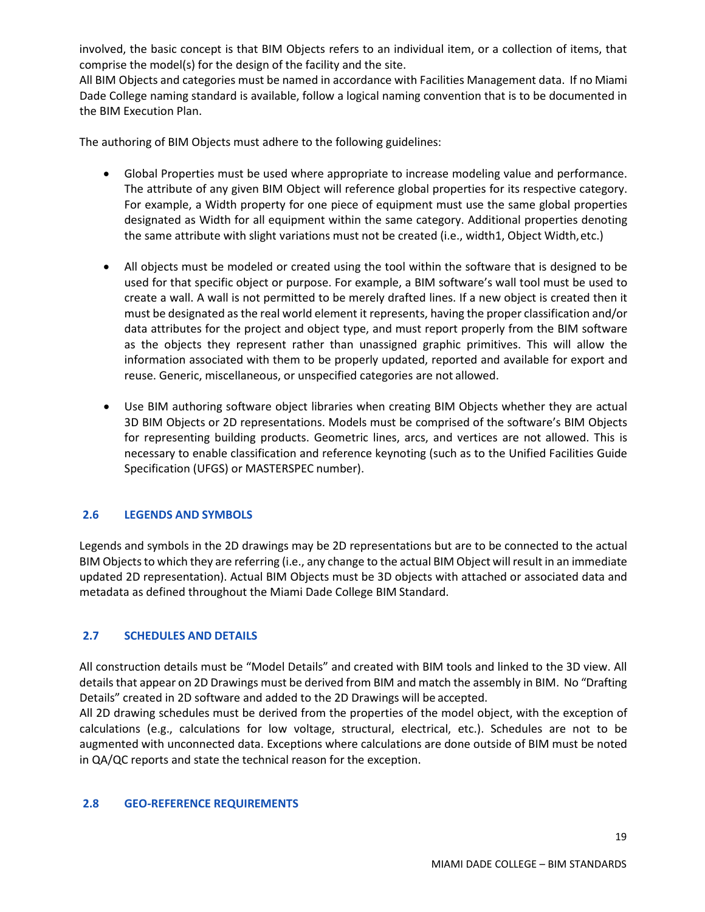involved, the basic concept is that BIM Objects refers to an individual item, or a collection of items, that comprise the model(s) for the design of the facility and the site.

All BIM Objects and categories must be named in accordance with Facilities Management data. If no Miami Dade College naming standard is available, follow a logical naming convention that is to be documented in the BIM Execution Plan.

The authoring of BIM Objects must adhere to the following guidelines:

- Global Properties must be used where appropriate to increase modeling value and performance. The attribute of any given BIM Object will reference global properties for its respective category. For example, a Width property for one piece of equipment must use the same global properties designated as Width for all equipment within the same category. Additional properties denoting the same attribute with slight variations must not be created (i.e., width1, Object Width,etc.)
- All objects must be modeled or created using the tool within the software that is designed to be used for that specific object or purpose. For example, a BIM software's wall tool must be used to create a wall. A wall is not permitted to be merely drafted lines. If a new object is created then it must be designated as the real world element it represents, having the proper classification and/or data attributes for the project and object type, and must report properly from the BIM software as the objects they represent rather than unassigned graphic primitives. This will allow the information associated with them to be properly updated, reported and available for export and reuse. Generic, miscellaneous, or unspecified categories are not allowed.
- Use BIM authoring software object libraries when creating BIM Objects whether they are actual 3D BIM Objects or 2D representations. Models must be comprised of the software's BIM Objects for representing building products. Geometric lines, arcs, and vertices are not allowed. This is necessary to enable classification and reference keynoting (such as to the Unified Facilities Guide Specification (UFGS) or MASTERSPEC number).

# <span id="page-18-0"></span>**2.6 LEGENDS AND SYMBOLS**

Legends and symbols in the 2D drawings may be 2D representations but are to be connected to the actual BIM Objects to which they are referring (i.e., any change to the actual BIM Object will result in an immediate updated 2D representation). Actual BIM Objects must be 3D objects with attached or associated data and metadata as defined throughout the Miami Dade College BIM Standard.

# <span id="page-18-1"></span>**2.7 SCHEDULES AND DETAILS**

All construction details must be "Model Details" and created with BIM tools and linked to the 3D view. All details that appear on 2D Drawings must be derived from BIM and match the assembly in BIM. No "Drafting Details" created in 2D software and added to the 2D Drawings will be accepted.

All 2D drawing schedules must be derived from the properties of the model object, with the exception of calculations (e.g., calculations for low voltage, structural, electrical, etc.). Schedules are not to be augmented with unconnected data. Exceptions where calculations are done outside of BIM must be noted in QA/QC reports and state the technical reason for the exception.

#### <span id="page-18-2"></span>**2.8 GEO-REFERENCE REQUIREMENTS**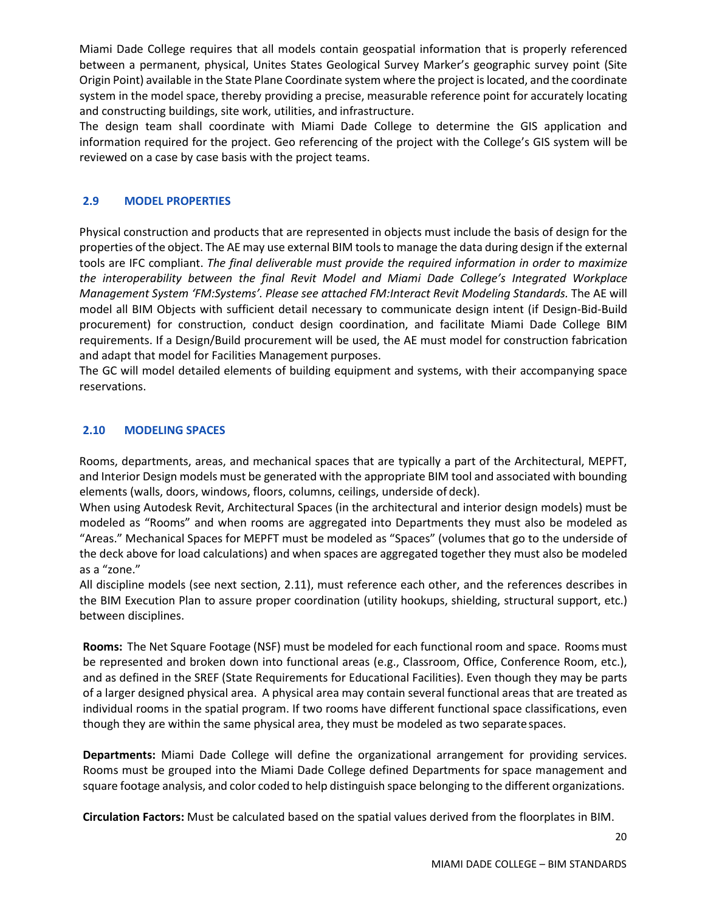Miami Dade College requires that all models contain geospatial information that is properly referenced between a permanent, physical, Unites States Geological Survey Marker's geographic survey point (Site Origin Point) available in the State Plane Coordinate system where the project islocated, and the coordinate system in the model space, thereby providing a precise, measurable reference point for accurately locating and constructing buildings, site work, utilities, and infrastructure.

The design team shall coordinate with Miami Dade College to determine the GIS application and information required for the project. Geo referencing of the project with the College's GIS system will be reviewed on a case by case basis with the project teams.

#### <span id="page-19-0"></span>**2.9 MODEL PROPERTIES**

Physical construction and products that are represented in objects must include the basis of design for the properties of the object. The AE may use external BIM toolsto manage the data during design if the external tools are IFC compliant. *The final deliverable must provide the required information in order to maximize the interoperability between the final Revit Model and Miami Dade College's Integrated Workplace Management System 'FM:Systems'. Please see attached FM:Interact Revit Modeling Standards.* The AE will model all BIM Objects with sufficient detail necessary to communicate design intent (if Design-Bid-Build procurement) for construction, conduct design coordination, and facilitate Miami Dade College BIM requirements. If a Design/Build procurement will be used, the AE must model for construction fabrication and adapt that model for Facilities Management purposes.

The GC will model detailed elements of building equipment and systems, with their accompanying space reservations.

#### <span id="page-19-1"></span>**2.10 MODELING SPACES**

Rooms, departments, areas, and mechanical spaces that are typically a part of the Architectural, MEPFT, and Interior Design models must be generated with the appropriate BIM tool and associated with bounding elements (walls, doors, windows, floors, columns, ceilings, underside of deck).

When using Autodesk Revit, Architectural Spaces (in the architectural and interior design models) must be modeled as "Rooms" and when rooms are aggregated into Departments they must also be modeled as "Areas." Mechanical Spaces for MEPFT must be modeled as "Spaces" (volumes that go to the underside of the deck above for load calculations) and when spaces are aggregated together they must also be modeled as a "zone."

All discipline models (see next section, 2.11), must reference each other, and the references describes in the BIM Execution Plan to assure proper coordination (utility hookups, shielding, structural support, etc.) between disciplines.

**Rooms:** The Net Square Footage (NSF) must be modeled for each functional room and space. Rooms must be represented and broken down into functional areas (e.g., Classroom, Office, Conference Room, etc.), and as defined in the SREF (State Requirements for Educational Facilities). Even though they may be parts of a larger designed physical area. A physical area may contain several functional areas that are treated as individual rooms in the spatial program. If two rooms have different functional space classifications, even though they are within the same physical area, they must be modeled as two separate spaces.

**Departments:** Miami Dade College will define the organizational arrangement for providing services. Rooms must be grouped into the Miami Dade College defined Departments for space management and square footage analysis, and color coded to help distinguish space belonging to the different organizations.

**Circulation Factors:** Must be calculated based on the spatial values derived from the floorplates in BIM.

20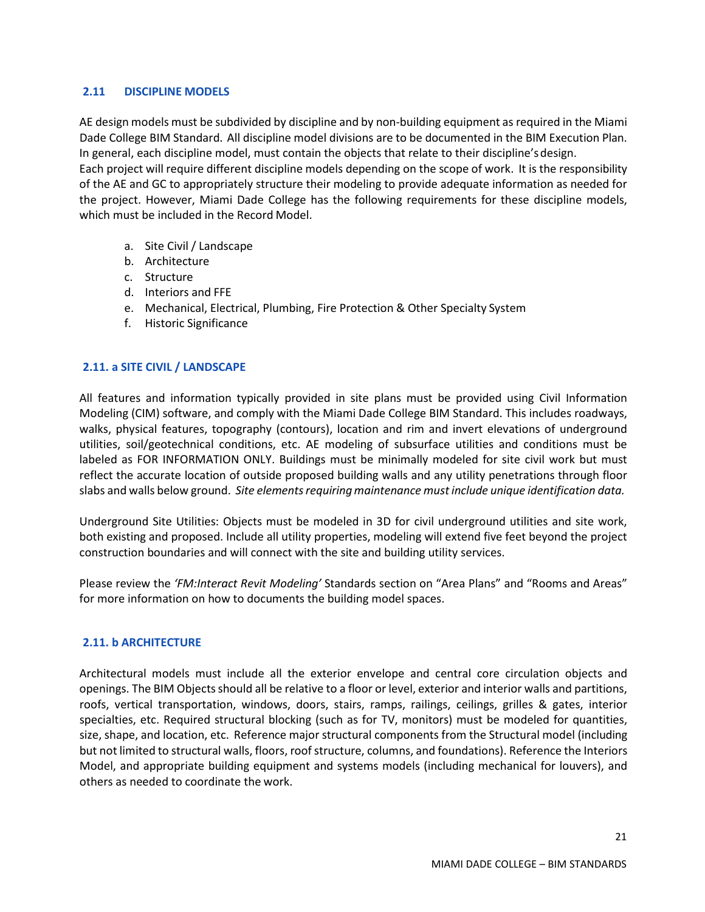#### <span id="page-20-0"></span>**2.11 DISCIPLINE MODELS**

AE design models must be subdivided by discipline and by non-building equipment as required in the Miami Dade College BIM Standard. All discipline model divisions are to be documented in the BIM Execution Plan. In general, each discipline model, must contain the objects that relate to their discipline'sdesign. Each project will require different discipline models depending on the scope of work. It is the responsibility of the AE and GC to appropriately structure their modeling to provide adequate information as needed for the project. However, Miami Dade College has the following requirements for these discipline models, which must be included in the Record Model.

- a. Site Civil / Landscape
- b. Architecture
- c. Structure
- d. Interiors and FFE
- e. Mechanical, Electrical, Plumbing, Fire Protection & Other Specialty System
- f. Historic Significance

#### <span id="page-20-1"></span>**2.11. a SITE CIVIL / LANDSCAPE**

All features and information typically provided in site plans must be provided using Civil Information Modeling (CIM) software, and comply with the Miami Dade College BIM Standard. This includes roadways, walks, physical features, topography (contours), location and rim and invert elevations of underground utilities, soil/geotechnical conditions, etc. AE modeling of subsurface utilities and conditions must be labeled as FOR INFORMATION ONLY. Buildings must be minimally modeled for site civil work but must reflect the accurate location of outside proposed building walls and any utility penetrations through floor slabs and walls below ground. *Site elementsrequiringmaintenance must include unique identification data.*

Underground Site Utilities: Objects must be modeled in 3D for civil underground utilities and site work, both existing and proposed. Include all utility properties, modeling will extend five feet beyond the project construction boundaries and will connect with the site and building utility services.

Please review the *'FM:Interact Revit Modeling'* Standards section on "Area Plans" and "Rooms and Areas" for more information on how to documents the building model spaces.

#### <span id="page-20-2"></span>**2.11. b ARCHITECTURE**

Architectural models must include all the exterior envelope and central core circulation objects and openings. The BIM Objectsshould all be relative to a floor or level, exterior and interior walls and partitions, roofs, vertical transportation, windows, doors, stairs, ramps, railings, ceilings, grilles & gates, interior specialties, etc. Required structural blocking (such as for TV, monitors) must be modeled for quantities, size, shape, and location, etc. Reference major structural components from the Structural model (including but not limited to structural walls, floors, roofstructure, columns, and foundations). Reference the Interiors Model, and appropriate building equipment and systems models (including mechanical for louvers), and others as needed to coordinate the work.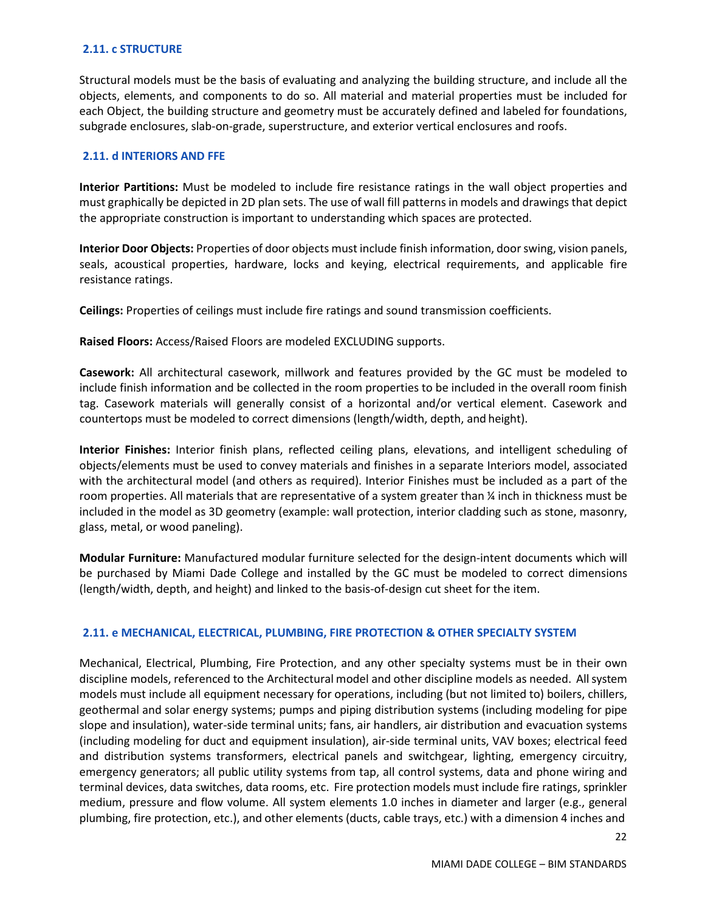#### <span id="page-21-0"></span>**2.11. c STRUCTURE**

Structural models must be the basis of evaluating and analyzing the building structure, and include all the objects, elements, and components to do so. All material and material properties must be included for each Object, the building structure and geometry must be accurately defined and labeled for foundations, subgrade enclosures, slab-on-grade, superstructure, and exterior vertical enclosures and roofs.

#### <span id="page-21-1"></span>**2.11. d INTERIORS AND FFE**

**Interior Partitions:** Must be modeled to include fire resistance ratings in the wall object properties and must graphically be depicted in 2D plan sets. The use of wall fill patterns in models and drawings that depict the appropriate construction is important to understanding which spaces are protected.

**Interior Door Objects:** Properties of door objects must include finish information, doorswing, vision panels, seals, acoustical properties, hardware, locks and keying, electrical requirements, and applicable fire resistance ratings.

**Ceilings:** Properties of ceilings must include fire ratings and sound transmission coefficients.

**Raised Floors:** Access/Raised Floors are modeled EXCLUDING supports.

**Casework:** All architectural casework, millwork and features provided by the GC must be modeled to include finish information and be collected in the room properties to be included in the overall room finish tag. Casework materials will generally consist of a horizontal and/or vertical element. Casework and countertops must be modeled to correct dimensions (length/width, depth, and height).

**Interior Finishes:** Interior finish plans, reflected ceiling plans, elevations, and intelligent scheduling of objects/elements must be used to convey materials and finishes in a separate Interiors model, associated with the architectural model (and others as required). Interior Finishes must be included as a part of the room properties. All materials that are representative of a system greater than ¼ inch in thickness must be included in the model as 3D geometry (example: wall protection, interior cladding such as stone, masonry, glass, metal, or wood paneling).

**Modular Furniture:** Manufactured modular furniture selected for the design-intent documents which will be purchased by Miami Dade College and installed by the GC must be modeled to correct dimensions (length/width, depth, and height) and linked to the basis-of-design cut sheet for the item.

#### <span id="page-21-2"></span>**2.11. e MECHANICAL, ELECTRICAL, PLUMBING, FIRE PROTECTION & OTHER SPECIALTY SYSTEM**

Mechanical, Electrical, Plumbing, Fire Protection, and any other specialty systems must be in their own discipline models, referenced to the Architectural model and other discipline models as needed. Allsystem models must include all equipment necessary for operations, including (but not limited to) boilers, chillers, geothermal and solar energy systems; pumps and piping distribution systems (including modeling for pipe slope and insulation), water-side terminal units; fans, air handlers, air distribution and evacuation systems (including modeling for duct and equipment insulation), air-side terminal units, VAV boxes; electrical feed and distribution systems transformers, electrical panels and switchgear, lighting, emergency circuitry, emergency generators; all public utility systems from tap, all control systems, data and phone wiring and terminal devices, data switches, data rooms, etc. Fire protection models must include fire ratings, sprinkler medium, pressure and flow volume. All system elements 1.0 inches in diameter and larger (e.g., general plumbing, fire protection, etc.), and other elements (ducts, cable trays, etc.) with a dimension 4 inches and

22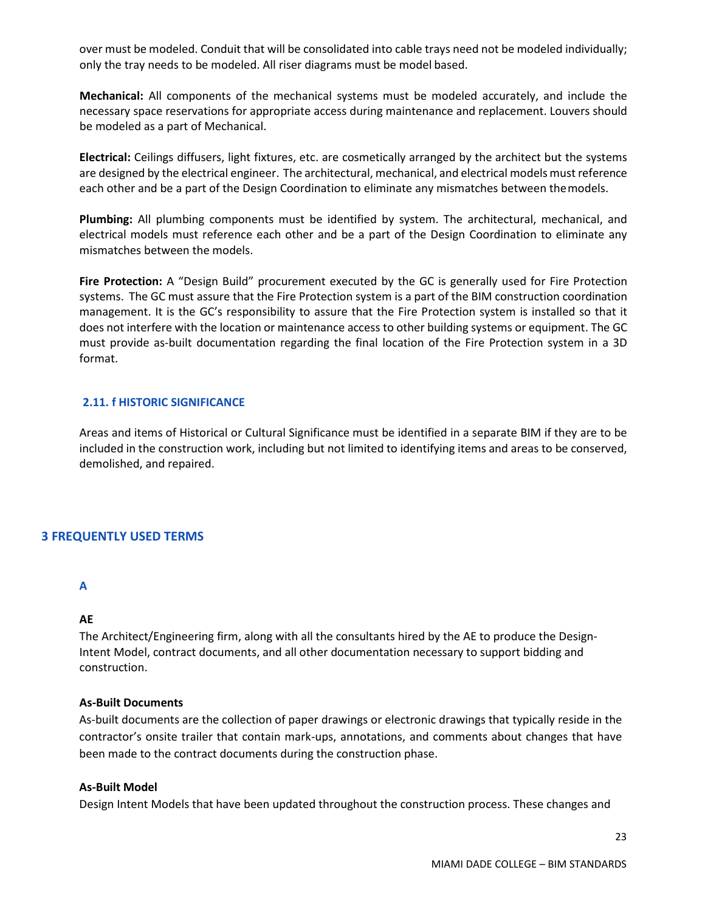over must be modeled. Conduit that will be consolidated into cable trays need not be modeled individually; only the tray needs to be modeled. All riser diagrams must be model based.

**Mechanical:** All components of the mechanical systems must be modeled accurately, and include the necessary space reservations for appropriate access during maintenance and replacement. Louvers should be modeled as a part of Mechanical.

**Electrical:** Ceilings diffusers, light fixtures, etc. are cosmetically arranged by the architect but the systems are designed by the electrical engineer. The architectural, mechanical, and electrical models must reference each other and be a part of the Design Coordination to eliminate any mismatches between themodels.

**Plumbing:** All plumbing components must be identified by system. The architectural, mechanical, and electrical models must reference each other and be a part of the Design Coordination to eliminate any mismatches between the models.

**Fire Protection:** A "Design Build" procurement executed by the GC is generally used for Fire Protection systems. The GC must assure that the Fire Protection system is a part of the BIM construction coordination management. It is the GC's responsibility to assure that the Fire Protection system is installed so that it does not interfere with the location or maintenance access to other building systems or equipment. The GC must provide as-built documentation regarding the final location of the Fire Protection system in a 3D format.

#### <span id="page-22-0"></span>**2.11. f HISTORIC SIGNIFICANCE**

Areas and items of Historical or Cultural Significance must be identified in a separate BIM if they are to be included in the construction work, including but not limited to identifying items and areas to be conserved, demolished, and repaired.

#### <span id="page-22-1"></span>**3 FREQUENTLY USED TERMS**

#### **A**

#### **AE**

The Architect/Engineering firm, along with all the consultants hired by the AE to produce the Design-Intent Model, contract documents, and all other documentation necessary to support bidding and construction.

#### **As-Built Documents**

As-built documents are the collection of paper drawings or electronic drawings that typically reside in the contractor's onsite trailer that contain mark-ups, annotations, and comments about changes that have been made to the contract documents during the construction phase.

#### **As-Built Model**

Design Intent Models that have been updated throughout the construction process. These changes and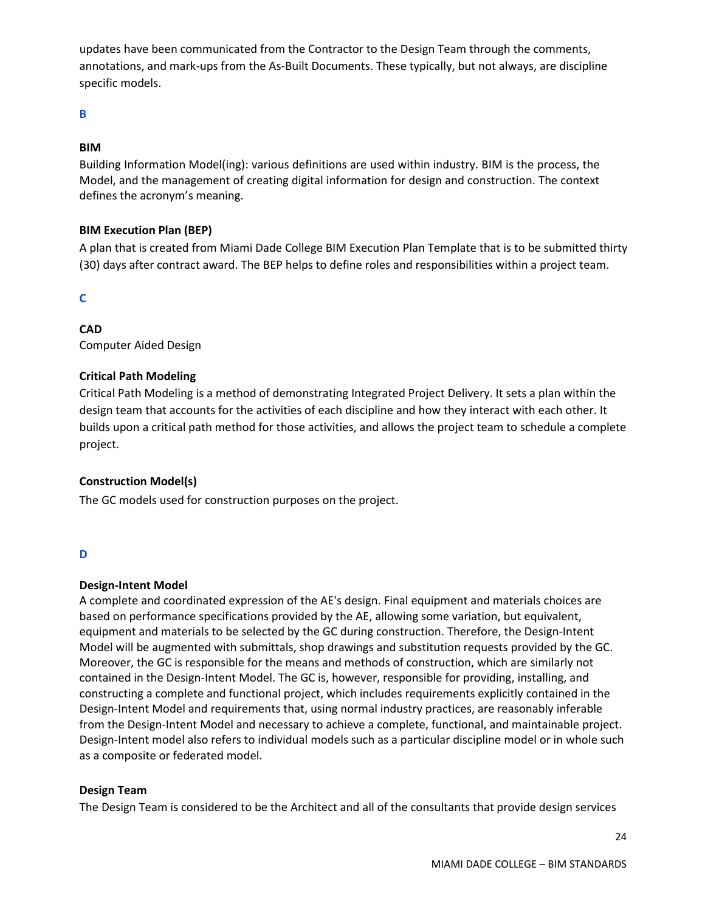updates have been communicated from the Contractor to the Design Team through the comments, annotations, and mark-ups from the As-Built Documents. These typically, but not always, are discipline specific models.

# **B**

## **BIM**

Building Information Model(ing): various definitions are used within industry. BIM is the process, the Model, and the management of creating digital information for design and construction. The context defines the acronym's meaning.

#### **BIM Execution Plan (BEP)**

A plan that is created from Miami Dade College BIM Execution Plan Template that is to be submitted thirty (30) days after contract award. The BEP helps to define roles and responsibilities within a project team.

**C** 

# **CAD**

Computer Aided Design

#### **Critical Path Modeling**

Critical Path Modeling is a method of demonstrating Integrated Project Delivery. It sets a plan within the design team that accounts for the activities of each discipline and how they interact with each other. It builds upon a critical path method for those activities, and allows the project team to schedule a complete project.

# **Construction Model(s)**

The GC models used for construction purposes on the project.

#### **D**

#### **Design-Intent Model**

A complete and coordinated expression of the AE's design. Final equipment and materials choices are based on performance specifications provided by the AE, allowing some variation, but equivalent, equipment and materials to be selected by the GC during construction. Therefore, the Design-Intent Model will be augmented with submittals, shop drawings and substitution requests provided by the GC. Moreover, the GC is responsible for the means and methods of construction, which are similarly not contained in the Design-Intent Model. The GC is, however, responsible for providing, installing, and constructing a complete and functional project, which includes requirements explicitly contained in the Design-Intent Model and requirements that, using normal industry practices, are reasonably inferable from the Design-Intent Model and necessary to achieve a complete, functional, and maintainable project. Design-Intent model also refers to individual models such as a particular discipline model or in whole such as a composite or federated model.

#### **Design Team**

The Design Team is considered to be the Architect and all of the consultants that provide design services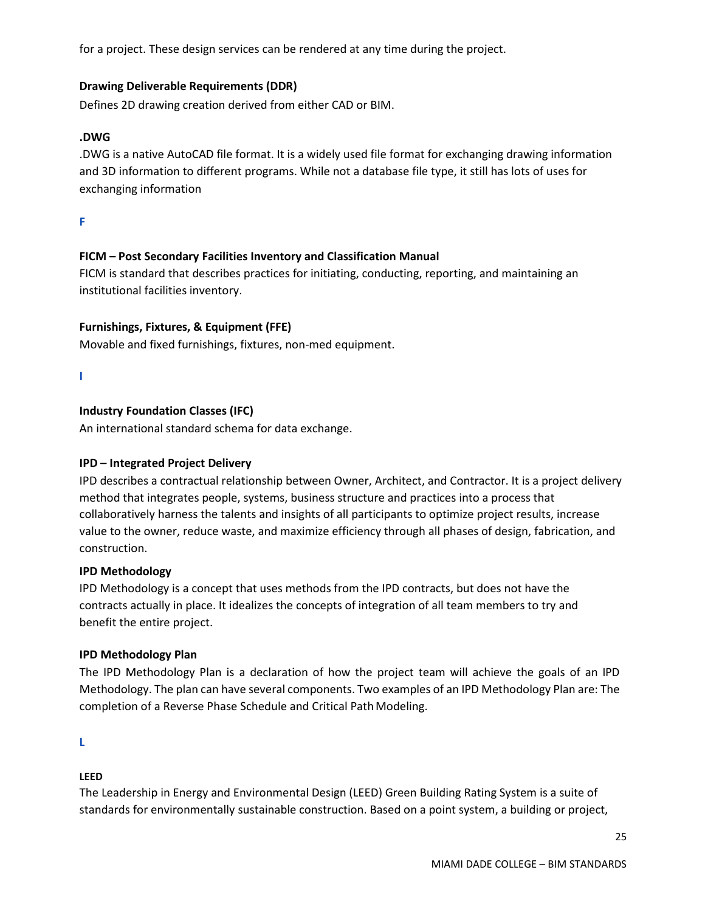for a project. These design services can be rendered at any time during the project.

#### **Drawing Deliverable Requirements (DDR)**

Defines 2D drawing creation derived from either CAD or BIM.

#### **.DWG**

.DWG is a native AutoCAD file format. It is a widely used file format for exchanging drawing information and 3D information to different programs. While not a database file type, it still has lots of uses for exchanging information

**F**

#### **FICM – Post Secondary Facilities Inventory and Classification Manual**

FICM is standard that describes practices for initiating, conducting, reporting, and maintaining an institutional facilities inventory.

#### **Furnishings, Fixtures, & Equipment (FFE)**

Movable and fixed furnishings, fixtures, non-med equipment.

**I**

#### **Industry Foundation Classes (IFC)**

An international standard schema for data exchange.

#### **IPD – Integrated Project Delivery**

IPD describes a contractual relationship between Owner, Architect, and Contractor. It is a project delivery method that integrates people, systems, business structure and practices into a process that collaboratively harness the talents and insights of all participants to optimize project results, increase value to the owner, reduce waste, and maximize efficiency through all phases of design, fabrication, and construction.

#### **IPD Methodology**

IPD Methodology is a concept that uses methods from the IPD contracts, but does not have the contracts actually in place. It idealizes the concepts of integration of all team members to try and benefit the entire project.

#### **IPD Methodology Plan**

The IPD Methodology Plan is a declaration of how the project team will achieve the goals of an IPD Methodology. The plan can have several components. Two examples of an IPD Methodology Plan are: The completion of a Reverse Phase Schedule and Critical Path Modeling.

**L**

#### **LEED**

The Leadership in Energy and Environmental Design (LEED) Green Building Rating System is a suite of standards for environmentally sustainable construction. Based on a point system, a building or project,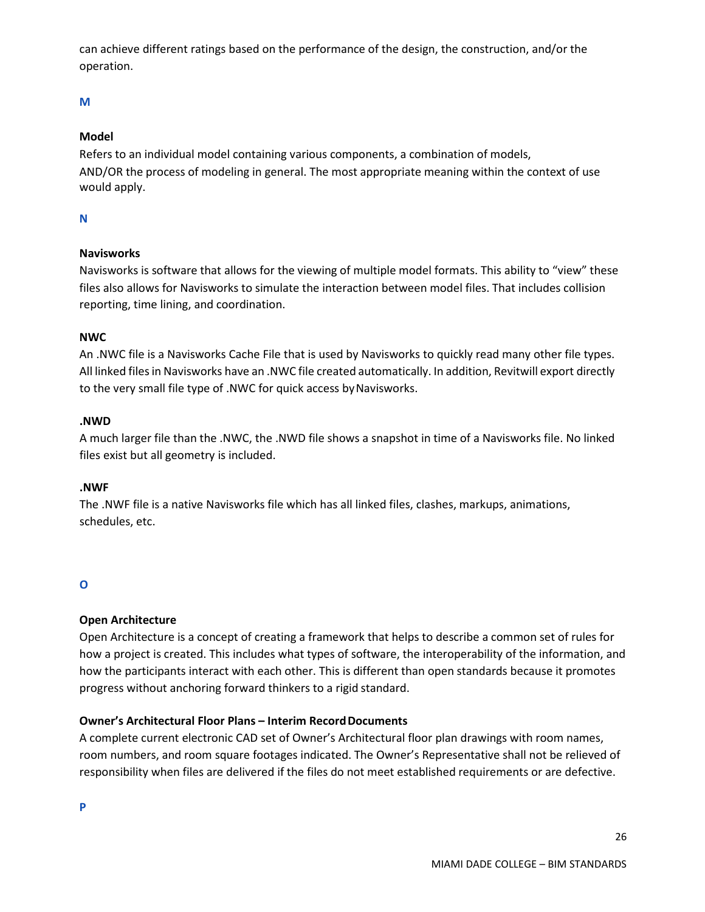can achieve different ratings based on the performance of the design, the construction, and/or the operation.

# **M**

## **Model**

Refers to an individual model containing various components, a combination of models, AND/OR the process of modeling in general. The most appropriate meaning within the context of use would apply.

## **N**

# **Navisworks**

Navisworks is software that allows for the viewing of multiple model formats. This ability to "view" these files also allows for Navisworks to simulate the interaction between model files. That includes collision reporting, time lining, and coordination.

#### **NWC**

An .NWC file is a Navisworks Cache File that is used by Navisworks to quickly read many other file types. All linked filesin Navisworks have an .NWC file created automatically. In addition, Revitwill export directly to the very small file type of .NWC for quick access byNavisworks.

#### **.NWD**

A much larger file than the .NWC, the .NWD file shows a snapshot in time of a Navisworks file. No linked files exist but all geometry is included.

#### **.NWF**

The .NWF file is a native Navisworks file which has all linked files, clashes, markups, animations, schedules, etc.

# **O**

# **Open Architecture**

Open Architecture is a concept of creating a framework that helps to describe a common set of rules for how a project is created. This includes what types of software, the interoperability of the information, and how the participants interact with each other. This is different than open standards because it promotes progress without anchoring forward thinkers to a rigid standard.

# **Owner's Architectural Floor Plans – Interim Record Documents**

A complete current electronic CAD set of Owner's Architectural floor plan drawings with room names, room numbers, and room square footages indicated. The Owner's Representative shall not be relieved of responsibility when files are delivered if the files do not meet established requirements or are defective.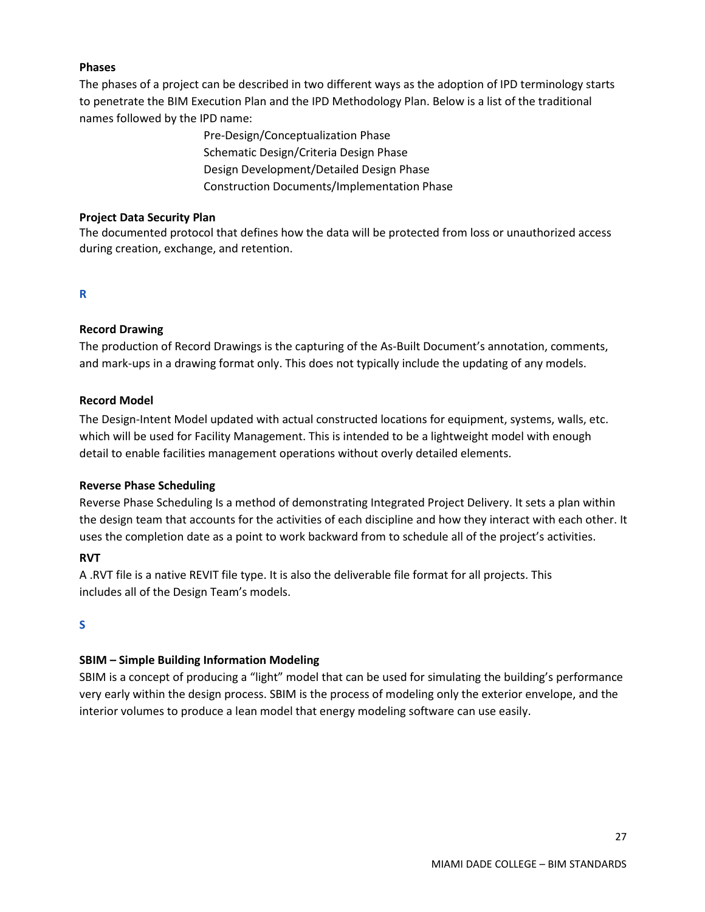#### **Phases**

The phases of a project can be described in two different ways as the adoption of IPD terminology starts to penetrate the BIM Execution Plan and the IPD Methodology Plan. Below is a list of the traditional names followed by the IPD name:

> Pre-Design/Conceptualization Phase Schematic Design/Criteria Design Phase Design Development/Detailed Design Phase Construction Documents/Implementation Phase

#### **Project Data Security Plan**

The documented protocol that defines how the data will be protected from loss or unauthorized access during creation, exchange, and retention.

#### **R**

#### **Record Drawing**

The production of Record Drawings is the capturing of the As-Built Document's annotation, comments, and mark-ups in a drawing format only. This does not typically include the updating of any models.

#### **Record Model**

The Design-Intent Model updated with actual constructed locations for equipment, systems, walls, etc. which will be used for Facility Management. This is intended to be a lightweight model with enough detail to enable facilities management operations without overly detailed elements.

#### **Reverse Phase Scheduling**

Reverse Phase Scheduling Is a method of demonstrating Integrated Project Delivery. It sets a plan within the design team that accounts for the activities of each discipline and how they interact with each other. It uses the completion date as a point to work backward from to schedule all of the project's activities.

#### **RVT**

A .RVT file is a native REVIT file type. It is also the deliverable file format for all projects. This includes all of the Design Team's models.

#### **S**

# **SBIM – Simple Building Information Modeling**

SBIM is a concept of producing a "light" model that can be used for simulating the building's performance very early within the design process. SBIM is the process of modeling only the exterior envelope, and the interior volumes to produce a lean model that energy modeling software can use easily.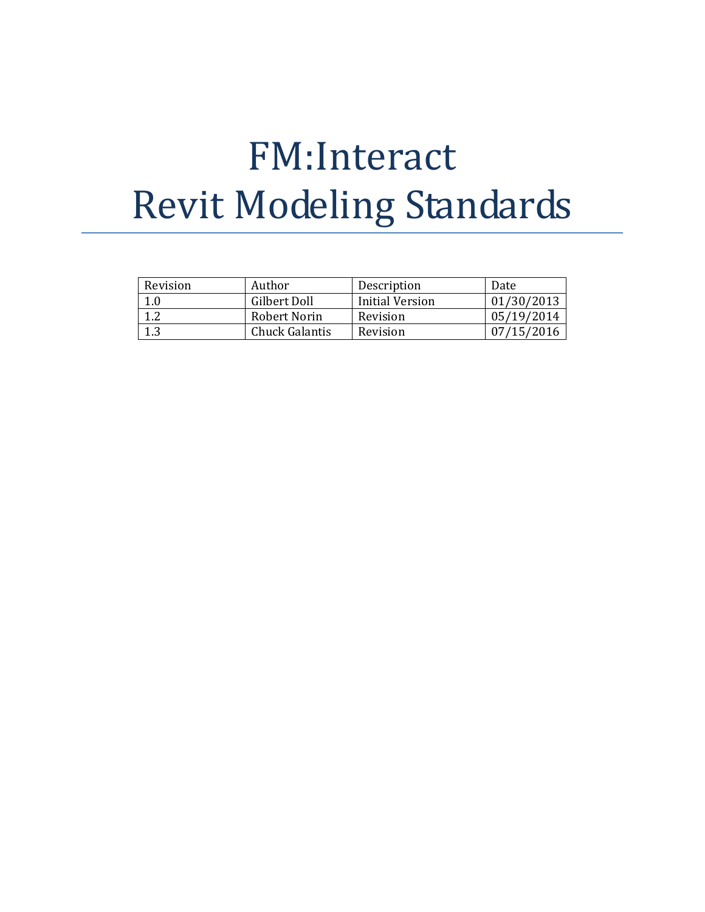# FM:Interact Revit Modeling Standards

| Revision | Author         | Description     | Date       |
|----------|----------------|-----------------|------------|
| 1.0      | Gilbert Doll   | Initial Version | 01/30/2013 |
|          | Robert Norin   | Revision        | 05/19/2014 |
|          | Chuck Galantis | Revision        | 07/15/2016 |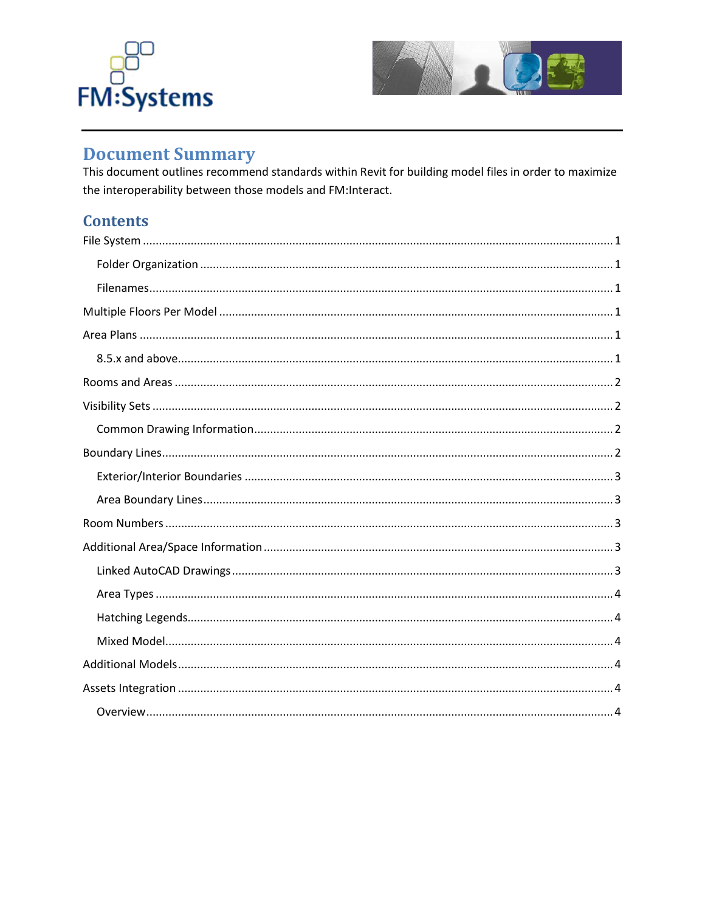



# **Document Summary**

This document outlines recommend standards within Revit for building model files in order to maximize the interoperability between those models and FM:Interact.

# **Contents**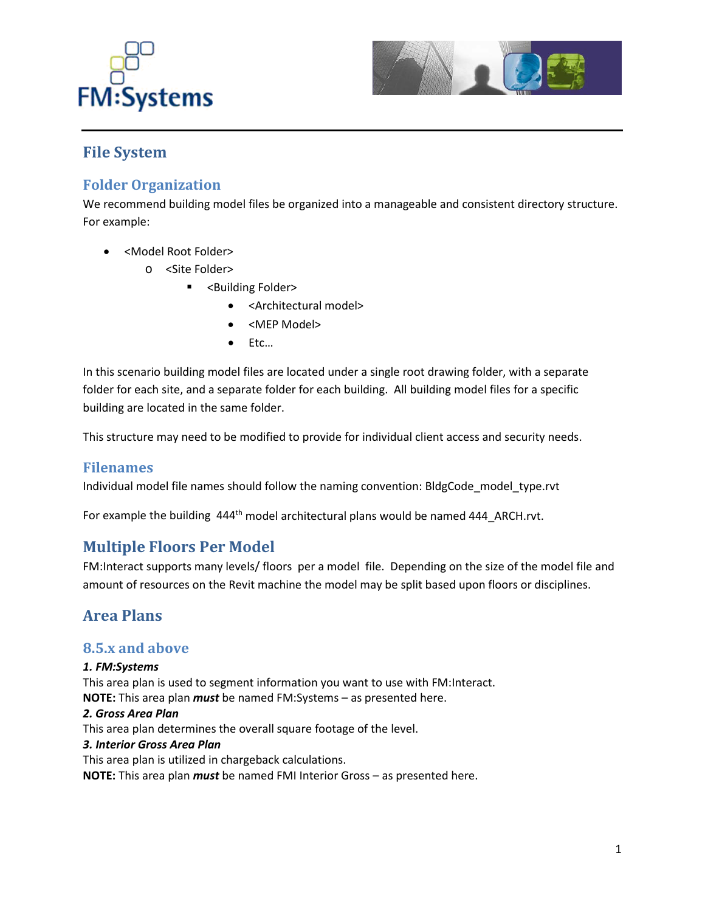



# <span id="page-29-0"></span>**File System**

# <span id="page-29-1"></span>**Folder Organization**

We recommend building model files be organized into a manageable and consistent directory structure. For example:

- <Model Root Folder>
	- o <Site Folder>
		- **-** <Building Folder>
			- <Architectural model>
			- <MEP Model>
			- Etc…

In this scenario building model files are located under a single root drawing folder, with a separate folder for each site, and a separate folder for each building. All building model files for a specific building are located in the same folder.

This structure may need to be modified to provide for individual client access and security needs.

# <span id="page-29-2"></span>**Filenames**

Individual model file names should follow the naming convention: BldgCode\_model\_type.rvt

For example the building 444<sup>th</sup> model architectural plans would be named 444 ARCH.rvt.

# <span id="page-29-3"></span>**Multiple Floors Per Model**

FM:Interact supports many levels/ floors per a model file. Depending on the size of the model file and amount of resources on the Revit machine the model may be split based upon floors or disciplines.

# <span id="page-29-4"></span>**Area Plans**

# <span id="page-29-5"></span>**8.5.x and above**

#### *1. FM:Systems*

This area plan is used to segment information you want to use with FM:Interact. **NOTE:** This area plan *must* be named FM:Systems – as presented here.

#### *2. Gross Area Plan*

This area plan determines the overall square footage of the level.

#### *3. Interior Gross Area Plan*

This area plan is utilized in chargeback calculations.

**NOTE:** This area plan *must* be named FMI Interior Gross – as presented here.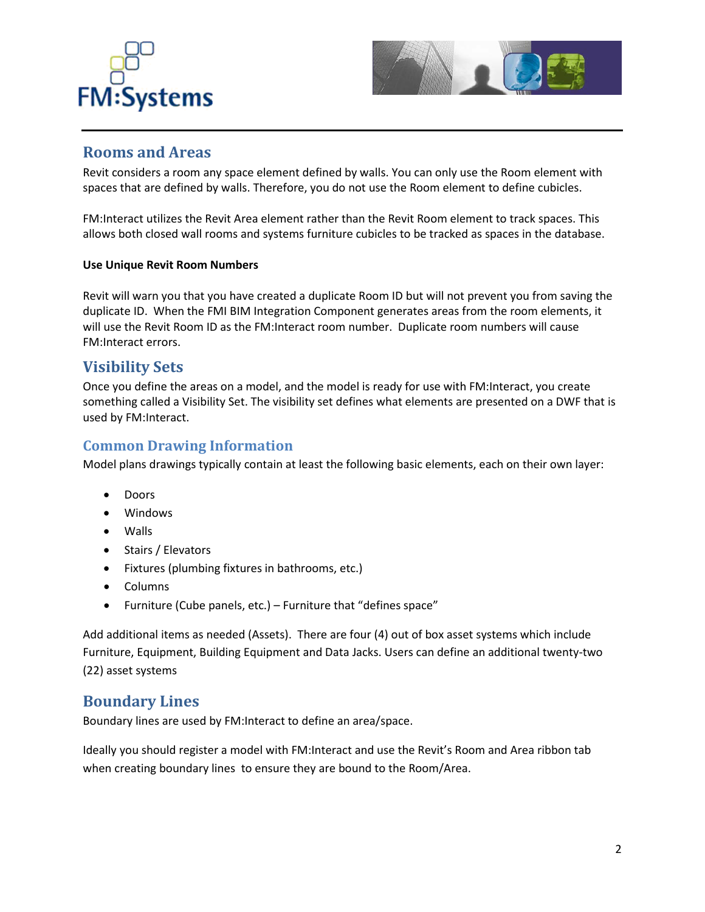



# <span id="page-30-0"></span>**Rooms and Areas**

Revit considers a room any space element defined by walls. You can only use the Room element with spaces that are defined by walls. Therefore, you do not use the Room element to define cubicles.

FM:Interact utilizes the Revit Area element rather than the Revit Room element to track spaces. This allows both closed wall rooms and systems furniture cubicles to be tracked as spaces in the database.

#### **Use Unique Revit Room Numbers**

Revit will warn you that you have created a duplicate Room ID but will not prevent you from saving the duplicate ID. When the FMI BIM Integration Component generates areas from the room elements, it will use the Revit Room ID as the FM:Interact room number. Duplicate room numbers will cause FM:Interact errors.

# <span id="page-30-1"></span>**Visibility Sets**

Once you define the areas on a model, and the model is ready for use with FM:Interact, you create something called a Visibility Set. The visibility set defines what elements are presented on a DWF that is used by FM:Interact.

# <span id="page-30-2"></span>**Common Drawing Information**

Model plans drawings typically contain at least the following basic elements, each on their own layer:

- Doors
- Windows
- Walls
- Stairs / Elevators
- Fixtures (plumbing fixtures in bathrooms, etc.)
- Columns
- Furniture (Cube panels, etc.) Furniture that "defines space"

Add additional items as needed (Assets). There are four (4) out of box asset systems which include Furniture, Equipment, Building Equipment and Data Jacks. Users can define an additional twenty-two (22) asset systems

# <span id="page-30-3"></span>**Boundary Lines**

Boundary lines are used by FM:Interact to define an area/space.

Ideally you should register a model with FM:Interact and use the Revit's Room and Area ribbon tab when creating boundary lines to ensure they are bound to the Room/Area.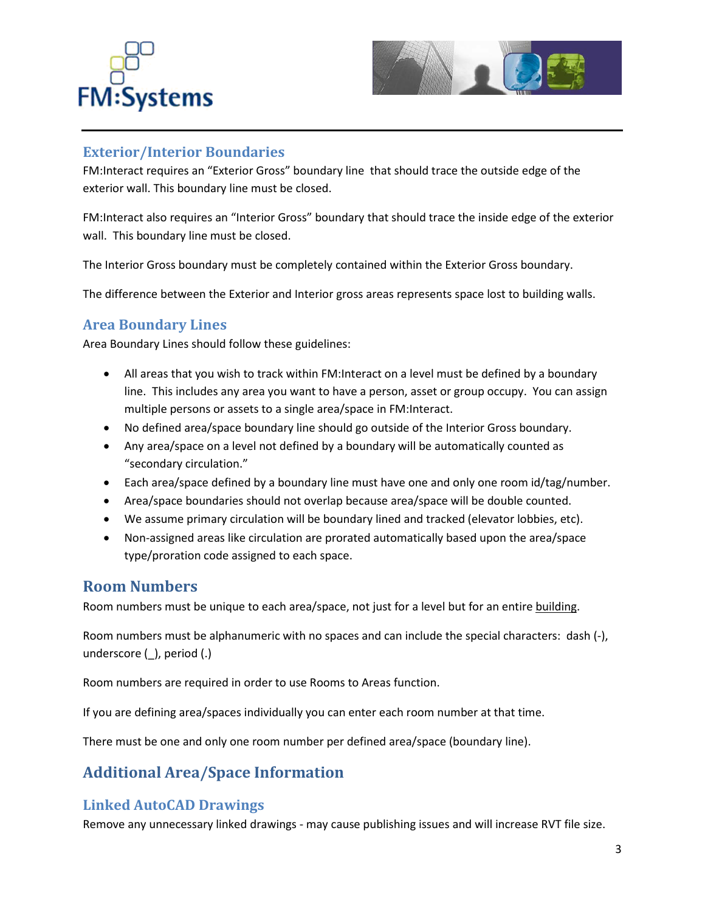



# <span id="page-31-0"></span>**Exterior/Interior Boundaries**

FM:Interact requires an "Exterior Gross" boundary line that should trace the outside edge of the exterior wall. This boundary line must be closed.

FM:Interact also requires an "Interior Gross" boundary that should trace the inside edge of the exterior wall. This boundary line must be closed.

The Interior Gross boundary must be completely contained within the Exterior Gross boundary.

The difference between the Exterior and Interior gross areas represents space lost to building walls.

# <span id="page-31-1"></span>**Area Boundary Lines**

Area Boundary Lines should follow these guidelines:

- All areas that you wish to track within FM: Interact on a level must be defined by a boundary line. This includes any area you want to have a person, asset or group occupy. You can assign multiple persons or assets to a single area/space in FM:Interact.
- No defined area/space boundary line should go outside of the Interior Gross boundary.
- Any area/space on a level not defined by a boundary will be automatically counted as "secondary circulation."
- Each area/space defined by a boundary line must have one and only one room id/tag/number.
- Area/space boundaries should not overlap because area/space will be double counted.
- We assume primary circulation will be boundary lined and tracked (elevator lobbies, etc).
- Non-assigned areas like circulation are prorated automatically based upon the area/space type/proration code assigned to each space.

# <span id="page-31-2"></span>**Room Numbers**

Room numbers must be unique to each area/space, not just for a level but for an entire building.

Room numbers must be alphanumeric with no spaces and can include the special characters: dash (-), underscore (\_), period (.)

Room numbers are required in order to use Rooms to Areas function.

If you are defining area/spaces individually you can enter each room number at that time.

There must be one and only one room number per defined area/space (boundary line).

# <span id="page-31-3"></span>**Additional Area/Space Information**

# <span id="page-31-4"></span>**Linked AutoCAD Drawings**

Remove any unnecessary linked drawings - may cause publishing issues and will increase RVT file size.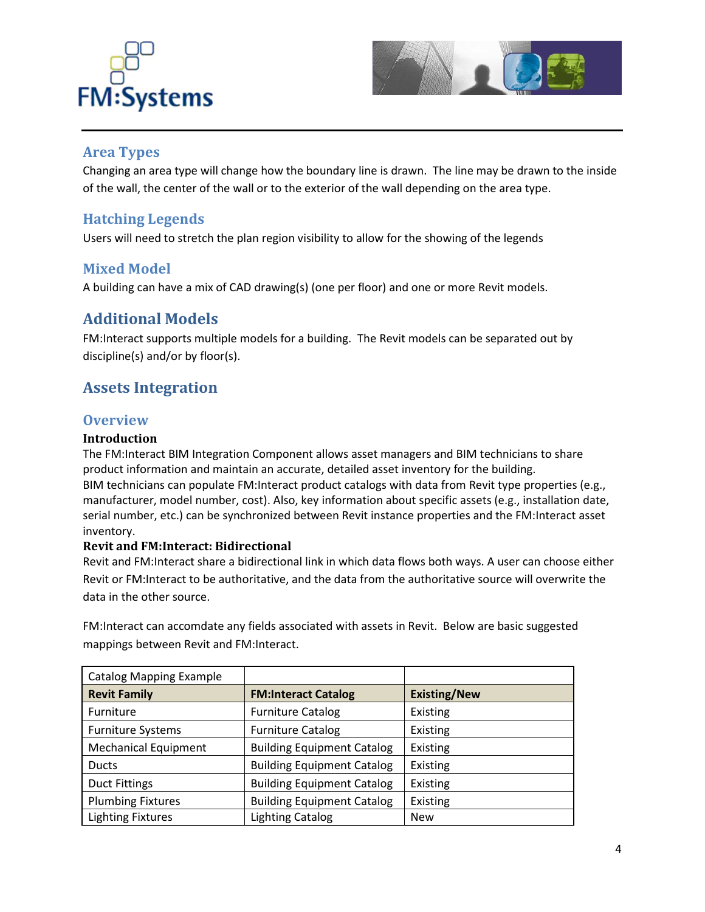



# <span id="page-32-0"></span>**Area Types**

Changing an area type will change how the boundary line is drawn. The line may be drawn to the inside of the wall, the center of the wall or to the exterior of the wall depending on the area type.

# <span id="page-32-1"></span>**Hatching Legends**

Users will need to stretch the plan region visibility to allow for the showing of the legends

# <span id="page-32-2"></span>**Mixed Model**

A building can have a mix of CAD drawing(s) (one per floor) and one or more Revit models.

# <span id="page-32-3"></span>**Additional Models**

FM:Interact supports multiple models for a building. The Revit models can be separated out by discipline(s) and/or by floor(s).

# <span id="page-32-4"></span>**Assets Integration**

# <span id="page-32-5"></span>**Overview**

#### **Introduction**

The FM:Interact BIM Integration Component allows asset managers and BIM technicians to share product information and maintain an accurate, detailed asset inventory for the building. BIM technicians can populate FM:Interact product catalogs with data from Revit type properties (e.g., manufacturer, model number, cost). Also, key information about specific assets (e.g., installation date, serial number, etc.) can be synchronized between Revit instance properties and the FM:Interact asset inventory.

# **Revit and FM:Interact: Bidirectional**

Revit and FM:Interact share a bidirectional link in which data flows both ways. A user can choose either Revit or FM:Interact to be authoritative, and the data from the authoritative source will overwrite the data in the other source.

FM:Interact can accomdate any fields associated with assets in Revit. Below are basic suggested mappings between Revit and FM:Interact.

| <b>Catalog Mapping Example</b> |                                   |                     |
|--------------------------------|-----------------------------------|---------------------|
| <b>Revit Family</b>            | <b>FM:Interact Catalog</b>        | <b>Existing/New</b> |
| <b>Furniture</b>               | <b>Furniture Catalog</b>          | Existing            |
| <b>Furniture Systems</b>       | <b>Furniture Catalog</b>          | Existing            |
| <b>Mechanical Equipment</b>    | <b>Building Equipment Catalog</b> | Existing            |
| <b>Ducts</b>                   | <b>Building Equipment Catalog</b> | Existing            |
| <b>Duct Fittings</b>           | <b>Building Equipment Catalog</b> | <b>Existing</b>     |
| <b>Plumbing Fixtures</b>       | <b>Building Equipment Catalog</b> | Existing            |
| <b>Lighting Fixtures</b>       | <b>Lighting Catalog</b>           | <b>New</b>          |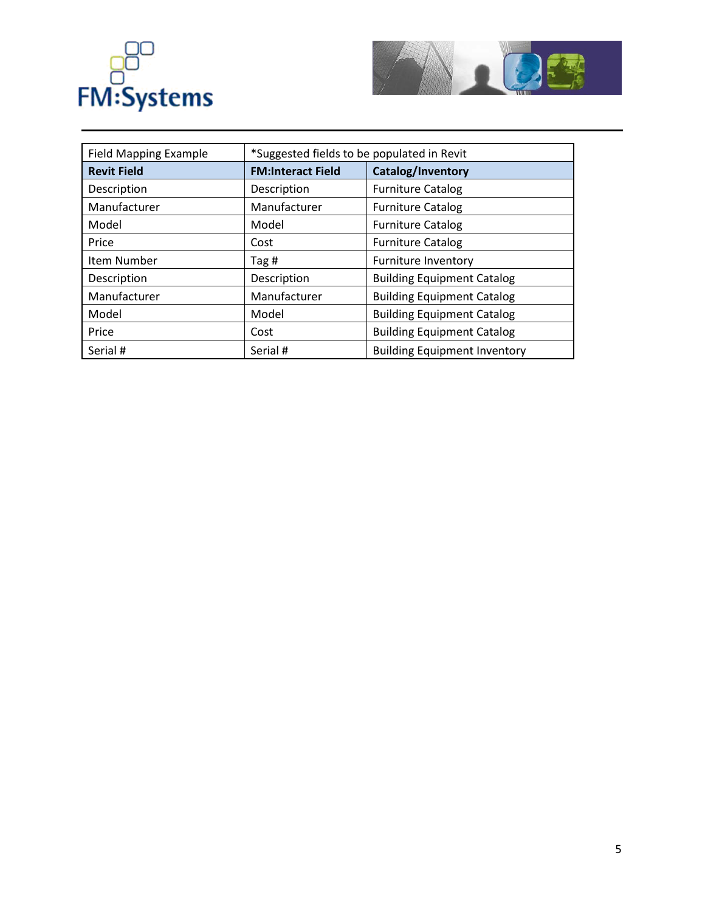



| <b>Field Mapping Example</b> | *Suggested fields to be populated in Revit |                                     |  |
|------------------------------|--------------------------------------------|-------------------------------------|--|
| <b>Revit Field</b>           | <b>FM:Interact Field</b>                   | Catalog/Inventory                   |  |
| Description                  | Description                                | <b>Furniture Catalog</b>            |  |
| Manufacturer                 | Manufacturer                               | <b>Furniture Catalog</b>            |  |
| Model                        | Model                                      | <b>Furniture Catalog</b>            |  |
| Price                        | Cost                                       | <b>Furniture Catalog</b>            |  |
| Item Number                  | Tag #                                      | <b>Furniture Inventory</b>          |  |
| Description                  | Description                                | <b>Building Equipment Catalog</b>   |  |
| Manufacturer                 | Manufacturer                               | <b>Building Equipment Catalog</b>   |  |
| Model                        | Model                                      | <b>Building Equipment Catalog</b>   |  |
| Price                        | Cost                                       | <b>Building Equipment Catalog</b>   |  |
| Serial #                     | Serial #                                   | <b>Building Equipment Inventory</b> |  |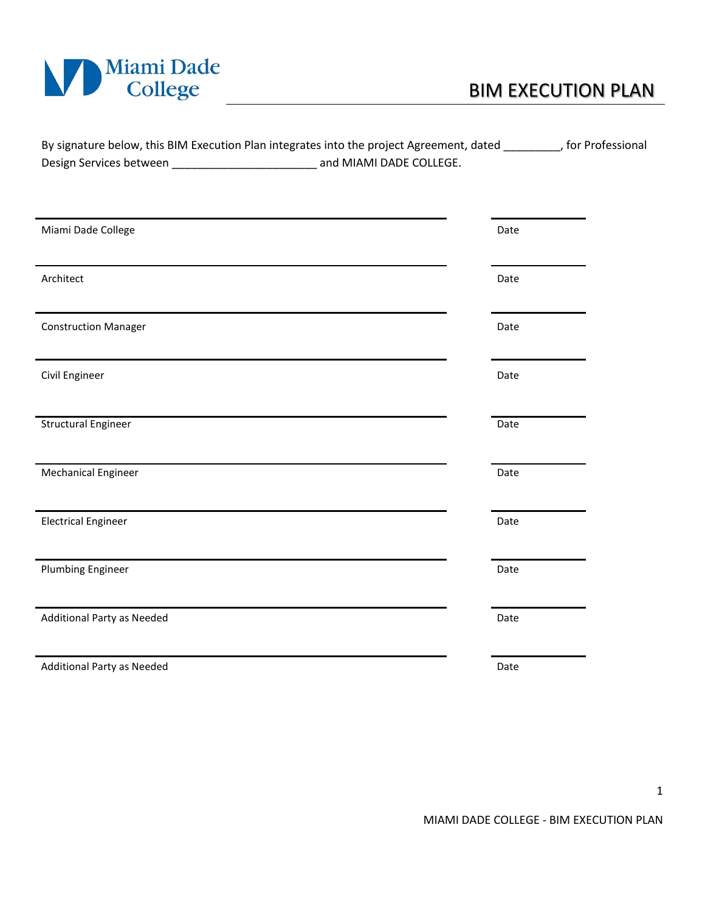

|                         | By signature below, this BIM Execution Plan integrates into the project Agreement, dated | , for Professional |
|-------------------------|------------------------------------------------------------------------------------------|--------------------|
| Design Services between | and MIAMI DADE COLLEGE.                                                                  |                    |

| Miami Dade College          | Date |
|-----------------------------|------|
| Architect                   | Date |
| <b>Construction Manager</b> | Date |
| Civil Engineer              | Date |
| <b>Structural Engineer</b>  | Date |
| <b>Mechanical Engineer</b>  | Date |
| <b>Electrical Engineer</b>  | Date |
| <b>Plumbing Engineer</b>    | Date |
| Additional Party as Needed  | Date |
| Additional Party as Needed  | Date |

1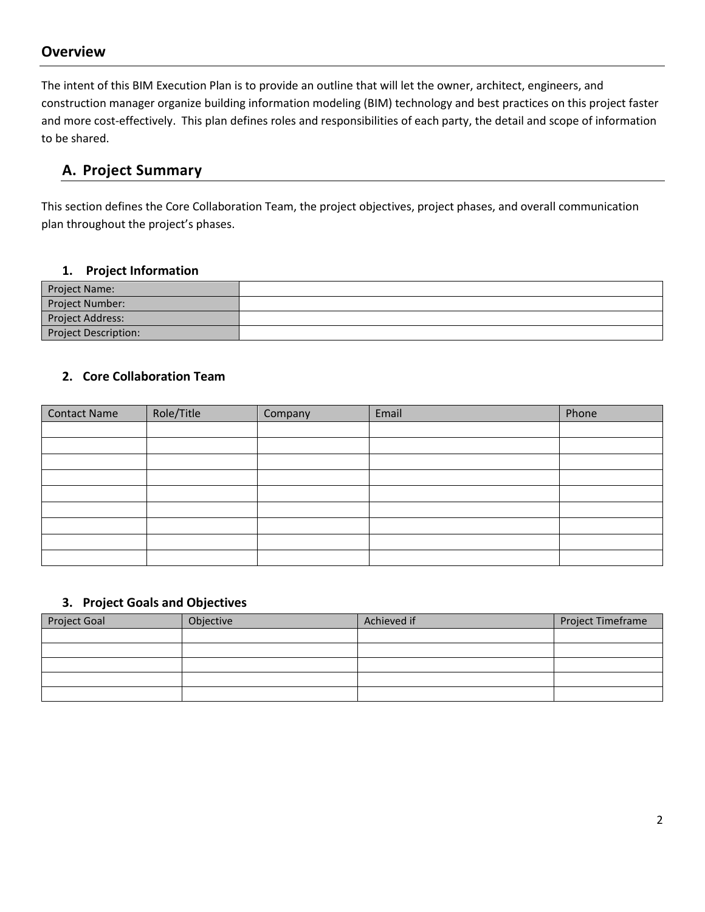# **Overview**

The intent of this BIM Execution Plan is to provide an outline that will let the owner, architect, engineers, and construction manager organize building information modeling (BIM) technology and best practices on this project faster and more cost-effectively. This plan defines roles and responsibilities of each party, the detail and scope of information to be shared.

# **A. Project Summary**

This section defines the Core Collaboration Team, the project objectives, project phases, and overall communication plan throughout the project's phases.

# **1. Project Information**

| Project Name:               |  |
|-----------------------------|--|
| Project Number:             |  |
| Project Address:            |  |
| <b>Project Description:</b> |  |

# **2. Core Collaboration Team**

| <b>Contact Name</b> | Role/Title | Company | Email | Phone |
|---------------------|------------|---------|-------|-------|
|                     |            |         |       |       |
|                     |            |         |       |       |
|                     |            |         |       |       |
|                     |            |         |       |       |
|                     |            |         |       |       |
|                     |            |         |       |       |
|                     |            |         |       |       |
|                     |            |         |       |       |
|                     |            |         |       |       |

# **3. Project Goals and Objectives**

| <b>Project Goal</b> | Objective | Achieved if | Project Timeframe |
|---------------------|-----------|-------------|-------------------|
|                     |           |             |                   |
|                     |           |             |                   |
|                     |           |             |                   |
|                     |           |             |                   |
|                     |           |             |                   |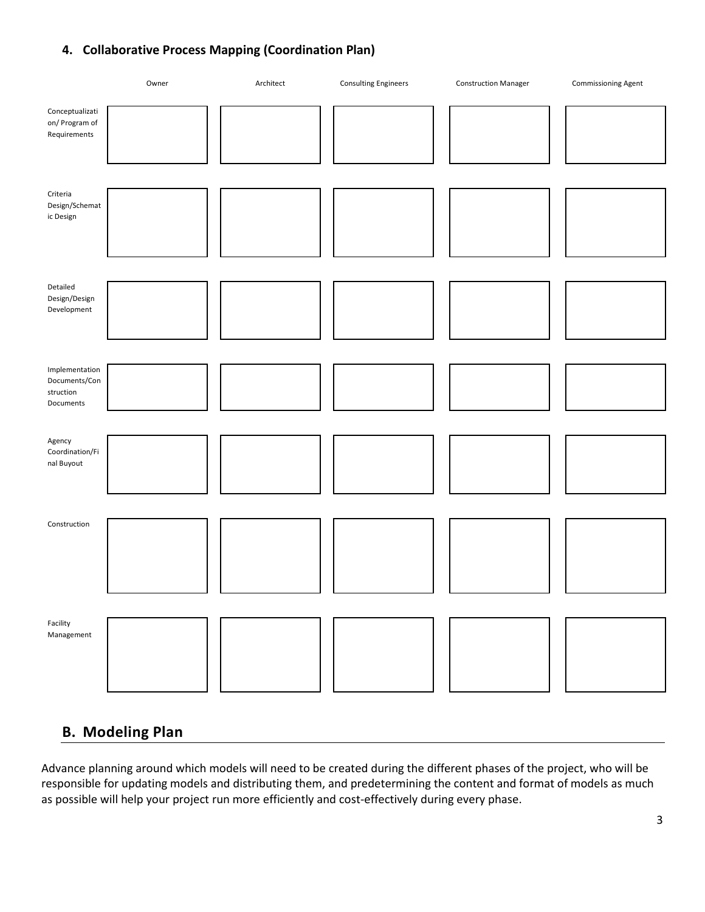# **4. Collaborative Process Mapping (Coordination Plan)**



# **B. Modeling Plan**

Advance planning around which models will need to be created during the different phases of the project, who will be responsible for updating models and distributing them, and predetermining the content and format of models as much as possible will help your project run more efficiently and cost-effectively during every phase.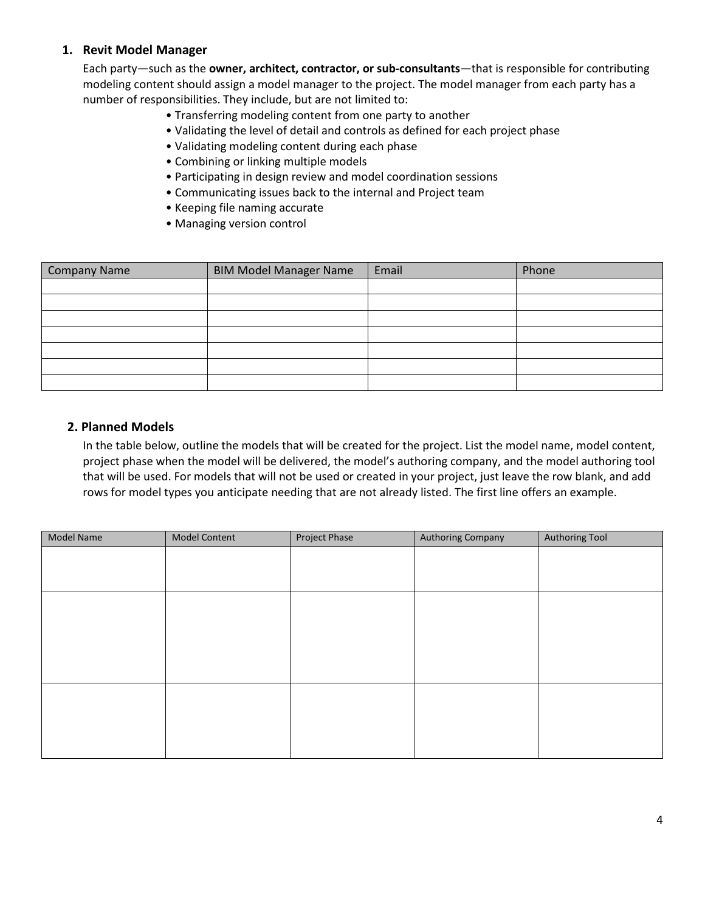# **1. Revit Model Manager**

Each party—such as the **owner, architect, contractor, or sub-consultants**—that is responsible for contributing modeling content should assign a model manager to the project. The model manager from each party has a number of responsibilities. They include, but are not limited to:

- Transferring modeling content from one party to another
- Validating the level of detail and controls as defined for each project phase
- Validating modeling content during each phase
- Combining or linking multiple models
- Participating in design review and model coordination sessions
- Communicating issues back to the internal and Project team
- Keeping file naming accurate
- Managing version control

| Company Name | <b>BIM Model Manager Name</b> | Email | Phone |
|--------------|-------------------------------|-------|-------|
|              |                               |       |       |
|              |                               |       |       |
|              |                               |       |       |
|              |                               |       |       |
|              |                               |       |       |
|              |                               |       |       |
|              |                               |       |       |

#### **2. Planned Models**

In the table below, outline the models that will be created for the project. List the model name, model content, project phase when the model will be delivered, the model's authoring company, and the model authoring tool that will be used. For models that will not be used or created in your project, just leave the row blank, and add rows for model types you anticipate needing that are not already listed. The first line offers an example.

| Model Name | <b>Model Content</b> | Project Phase | Authoring Company | <b>Authoring Tool</b> |
|------------|----------------------|---------------|-------------------|-----------------------|
|            |                      |               |                   |                       |
|            |                      |               |                   |                       |
|            |                      |               |                   |                       |
|            |                      |               |                   |                       |
|            |                      |               |                   |                       |
|            |                      |               |                   |                       |
|            |                      |               |                   |                       |
|            |                      |               |                   |                       |
|            |                      |               |                   |                       |
|            |                      |               |                   |                       |
|            |                      |               |                   |                       |
|            |                      |               |                   |                       |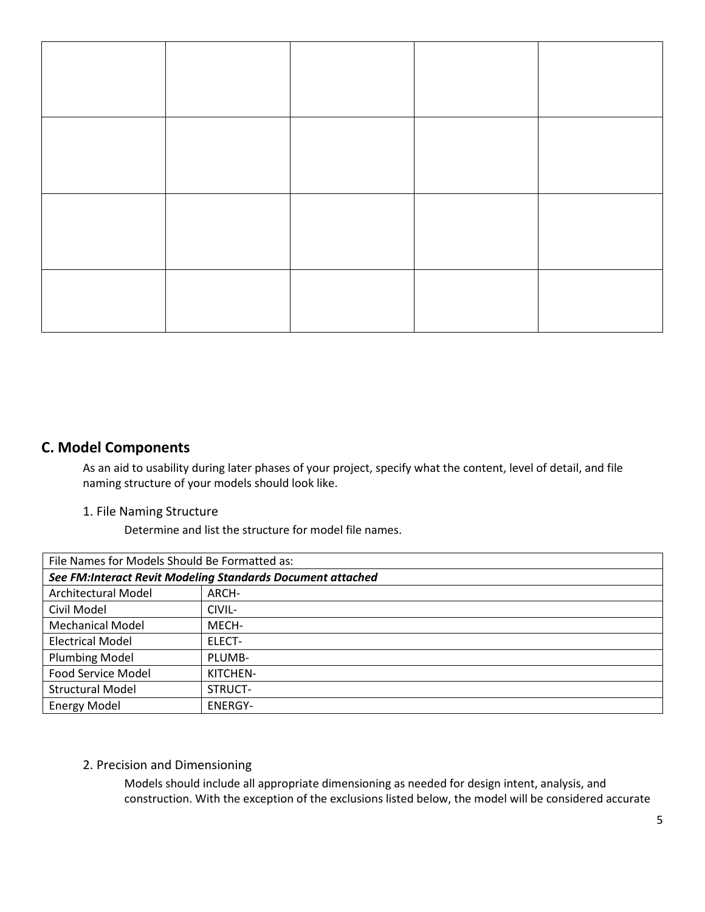# **C. Model Components**

As an aid to usability during later phases of your project, specify what the content, level of detail, and file naming structure of your models should look like.

#### 1. File Naming Structure

Determine and list the structure for model file names.

| File Names for Models Should Be Formatted as:              |                |  |
|------------------------------------------------------------|----------------|--|
| See FM:Interact Revit Modeling Standards Document attached |                |  |
| Architectural Model                                        | ARCH-          |  |
| Civil Model                                                | CIVIL-         |  |
| <b>Mechanical Model</b>                                    | MECH-          |  |
| <b>Electrical Model</b>                                    | ELECT-         |  |
| <b>Plumbing Model</b>                                      | PLUMB-         |  |
| Food Service Model                                         | KITCHEN-       |  |
| <b>Structural Model</b>                                    | STRUCT-        |  |
| <b>Energy Model</b>                                        | <b>ENERGY-</b> |  |

## 2. Precision and Dimensioning

Models should include all appropriate dimensioning as needed for design intent, analysis, and construction. With the exception of the exclusions listed below, the model will be considered accurate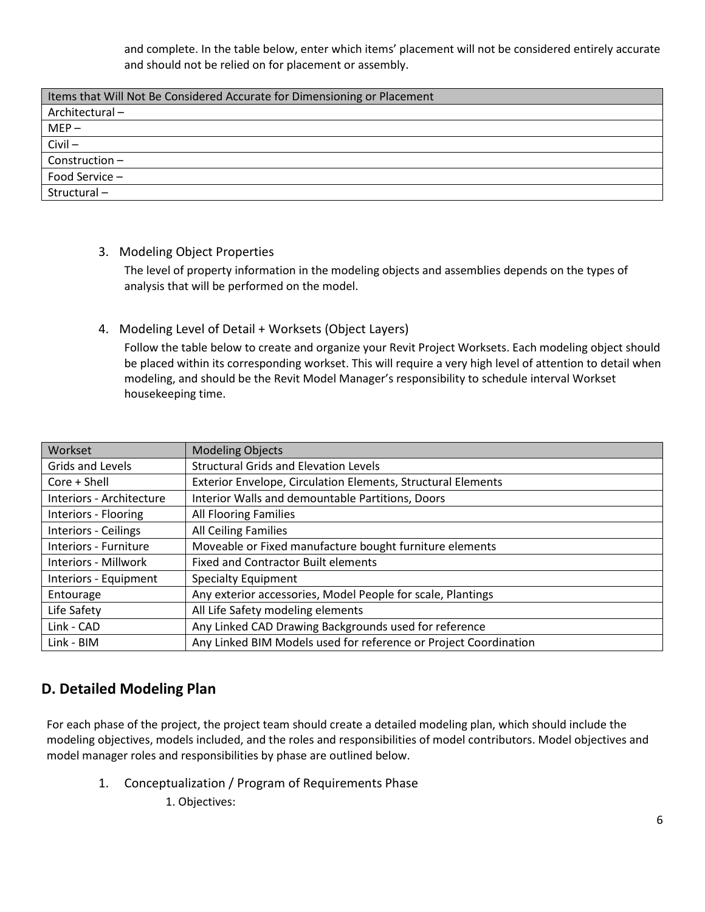and complete. In the table below, enter which items' placement will not be considered entirely accurate and should not be relied on for placement or assembly.

| Items that Will Not Be Considered Accurate for Dimensioning or Placement |
|--------------------------------------------------------------------------|
| Architectural-                                                           |
| $MEP -$                                                                  |
| $Civil -$                                                                |
| Construction-                                                            |
| Food Service -                                                           |
| Structural-                                                              |

3. Modeling Object Properties

The level of property information in the modeling objects and assemblies depends on the types of analysis that will be performed on the model.

4. Modeling Level of Detail + Worksets (Object Layers)

Follow the table below to create and organize your Revit Project Worksets. Each modeling object should be placed within its corresponding workset. This will require a very high level of attention to detail when modeling, and should be the Revit Model Manager's responsibility to schedule interval Workset housekeeping time.

| Workset                  | <b>Modeling Objects</b>                                          |
|--------------------------|------------------------------------------------------------------|
| Grids and Levels         | <b>Structural Grids and Elevation Levels</b>                     |
| $Core + Shell$           | Exterior Envelope, Circulation Elements, Structural Elements     |
| Interiors - Architecture | Interior Walls and demountable Partitions, Doors                 |
| Interiors - Flooring     | All Flooring Families                                            |
| Interiors - Ceilings     | All Ceiling Families                                             |
| Interiors - Furniture    | Moveable or Fixed manufacture bought furniture elements          |
| Interiors - Millwork     | <b>Fixed and Contractor Built elements</b>                       |
| Interiors - Equipment    | <b>Specialty Equipment</b>                                       |
| Entourage                | Any exterior accessories, Model People for scale, Plantings      |
| Life Safety              | All Life Safety modeling elements                                |
| Link - CAD               | Any Linked CAD Drawing Backgrounds used for reference            |
| Link - BIM               | Any Linked BIM Models used for reference or Project Coordination |

# **D. Detailed Modeling Plan**

For each phase of the project, the project team should create a detailed modeling plan, which should include the modeling objectives, models included, and the roles and responsibilities of model contributors. Model objectives and model manager roles and responsibilities by phase are outlined below.

- 1. Conceptualization / Program of Requirements Phase
	- 1. Objectives: